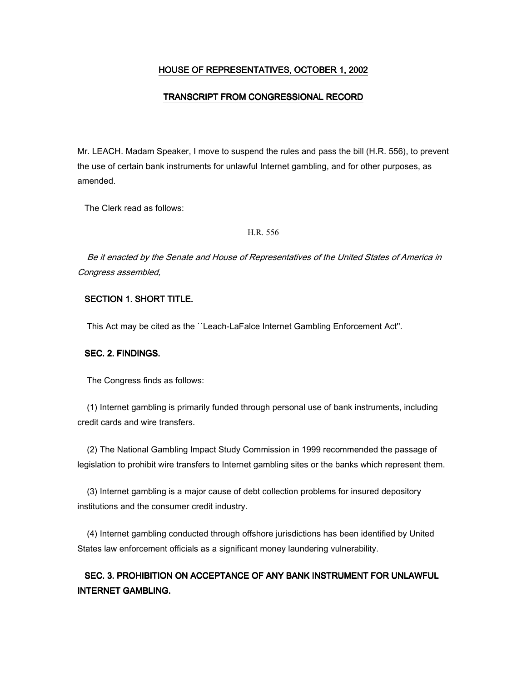## HOUSE OF REPRESENTATIVES, OCTOBER 1, 2002

## TRANSCRIPT FROM CONGRESSIONAL RECORD

Mr. LEACH. Madam Speaker, I move to suspend the rules and pass the bill (H.R. 556), to prevent the use of certain bank instruments for unlawful Internet gambling, and for other purposes, as amended.

The Clerk read as follows:

### H.R. 556

 Be it enacted by the Senate and House of Representatives of the United States of America in Congress assembled,

# SECTION 1. SHORT TITLE.

This Act may be cited as the ``Leach-LaFalce Internet Gambling Enforcement Act''.

#### SEC. 2. FINDINGS.

The Congress finds as follows:

 (1) Internet gambling is primarily funded through personal use of bank instruments, including credit cards and wire transfers.

 (2) The National Gambling Impact Study Commission in 1999 recommended the passage of legislation to prohibit wire transfers to Internet gambling sites or the banks which represent them.

 (3) Internet gambling is a major cause of debt collection problems for insured depository institutions and the consumer credit industry.

 (4) Internet gambling conducted through offshore jurisdictions has been identified by United States law enforcement officials as a significant money laundering vulnerability.

# SEC. 3. PROHIBITION ON ACCEPTANCE OF ANY BANK INSTRUMENT FOR UNLAWFUL **INTERNET GAMBLING.**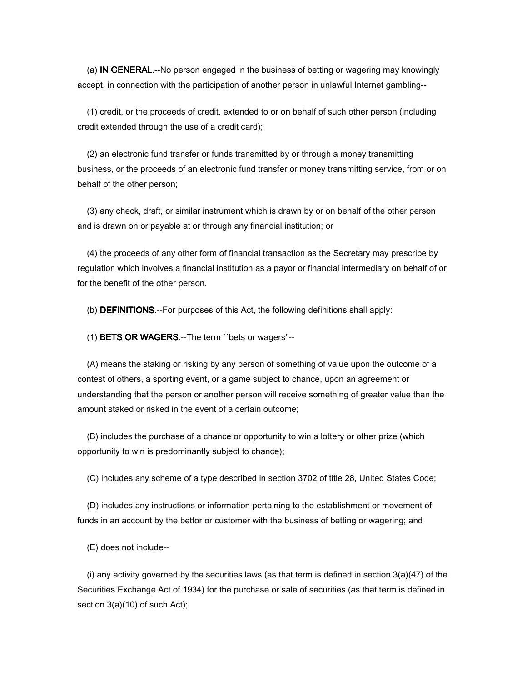(a) IN GENERAL.--No person engaged in the business of betting or wagering may knowingly accept, in connection with the participation of another person in unlawful Internet gambling--

 (1) credit, or the proceeds of credit, extended to or on behalf of such other person (including credit extended through the use of a credit card);

 (2) an electronic fund transfer or funds transmitted by or through a money transmitting business, or the proceeds of an electronic fund transfer or money transmitting service, from or on behalf of the other person;

 (3) any check, draft, or similar instrument which is drawn by or on behalf of the other person and is drawn on or payable at or through any financial institution; or

 (4) the proceeds of any other form of financial transaction as the Secretary may prescribe by regulation which involves a financial institution as a payor or financial intermediary on behalf of or for the benefit of the other person.

(b) DEFINITIONS.--For purposes of this Act, the following definitions shall apply:

 $(1)$  BETS OR WAGERS.--The term "bets or wagers"--

 (A) means the staking or risking by any person of something of value upon the outcome of a contest of others, a sporting event, or a game subject to chance, upon an agreement or understanding that the person or another person will receive something of greater value than the amount staked or risked in the event of a certain outcome;

 (B) includes the purchase of a chance or opportunity to win a lottery or other prize (which opportunity to win is predominantly subject to chance);

(C) includes any scheme of a type described in section 3702 of title 28, United States Code;

 (D) includes any instructions or information pertaining to the establishment or movement of funds in an account by the bettor or customer with the business of betting or wagering; and

(E) does not include--

 (i) any activity governed by the securities laws (as that term is defined in section 3(a)(47) of the Securities Exchange Act of 1934) for the purchase or sale of securities (as that term is defined in section 3(a)(10) of such Act);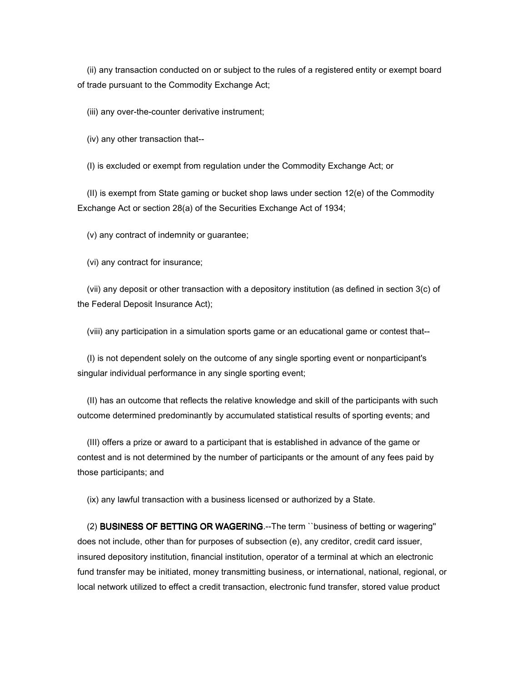(ii) any transaction conducted on or subject to the rules of a registered entity or exempt board of trade pursuant to the Commodity Exchange Act;

(iii) any over-the-counter derivative instrument;

(iv) any other transaction that--

(I) is excluded or exempt from regulation under the Commodity Exchange Act; or

 (II) is exempt from State gaming or bucket shop laws under section 12(e) of the Commodity Exchange Act or section 28(a) of the Securities Exchange Act of 1934;

(v) any contract of indemnity or guarantee;

(vi) any contract for insurance;

 (vii) any deposit or other transaction with a depository institution (as defined in section 3(c) of the Federal Deposit Insurance Act);

(viii) any participation in a simulation sports game or an educational game or contest that--

 (I) is not dependent solely on the outcome of any single sporting event or nonparticipant's singular individual performance in any single sporting event;

 (II) has an outcome that reflects the relative knowledge and skill of the participants with such outcome determined predominantly by accumulated statistical results of sporting events; and

 (III) offers a prize or award to a participant that is established in advance of the game or contest and is not determined by the number of participants or the amount of any fees paid by those participants; and

(ix) any lawful transaction with a business licensed or authorized by a State.

(2) BUSINESS OF BETTING OR WAGERING.--The term ``business of betting or wagering" does not include, other than for purposes of subsection (e), any creditor, credit card issuer, insured depository institution, financial institution, operator of a terminal at which an electronic fund transfer may be initiated, money transmitting business, or international, national, regional, or local network utilized to effect a credit transaction, electronic fund transfer, stored value product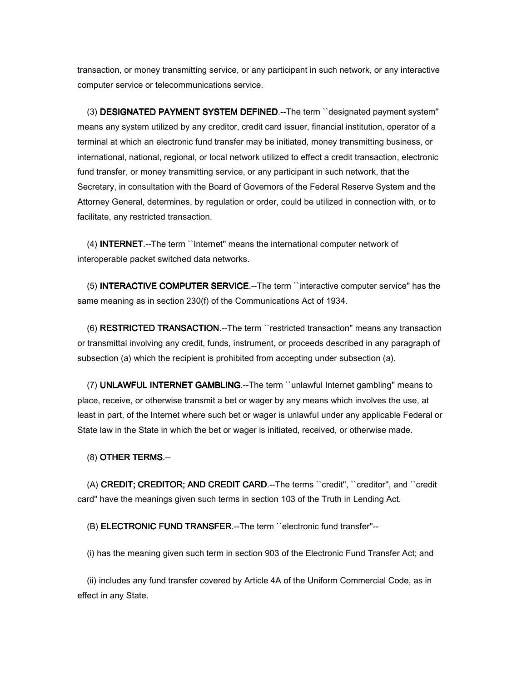transaction, or money transmitting service, or any participant in such network, or any interactive computer service or telecommunications service.

(3) DESIGNATED PAYMENT SYSTEM DEFINED.--The term "designated payment system" means any system utilized by any creditor, credit card issuer, financial institution, operator of a terminal at which an electronic fund transfer may be initiated, money transmitting business, or international, national, regional, or local network utilized to effect a credit transaction, electronic fund transfer, or money transmitting service, or any participant in such network, that the Secretary, in consultation with the Board of Governors of the Federal Reserve System and the Attorney General, determines, by regulation or order, could be utilized in connection with, or to facilitate, any restricted transaction.

(4) **INTERNET**.--The term ``Internet" means the international computer network of interoperable packet switched data networks.

(5) **INTERACTIVE COMPUTER SERVICE** .-- The term ``interactive computer service" has the same meaning as in section 230(f) of the Communications Act of 1934.

(6) RESTRICTED TRANSACTION.--The term "restricted transaction" means any transaction or transmittal involving any credit, funds, instrument, or proceeds described in any paragraph of subsection (a) which the recipient is prohibited from accepting under subsection (a).

(7) UNLAWFUL INTERNET GAMBLING.--The term ``unlawful Internet gambling" means to place, receive, or otherwise transmit a bet or wager by any means which involves the use, at least in part, of the Internet where such bet or wager is unlawful under any applicable Federal or State law in the State in which the bet or wager is initiated, received, or otherwise made.

#### $(8)$  OTHER TERMS. $-$

(A) CREDIT; CREDITOR; AND CREDIT CARD.--The terms "credit", "creditor", and "credit card'' have the meanings given such terms in section 103 of the Truth in Lending Act.

(B) **ELECTRONIC FUND TRANSFER**.--The term "electronic fund transfer"--

(i) has the meaning given such term in section 903 of the Electronic Fund Transfer Act; and

 (ii) includes any fund transfer covered by Article 4A of the Uniform Commercial Code, as in effect in any State.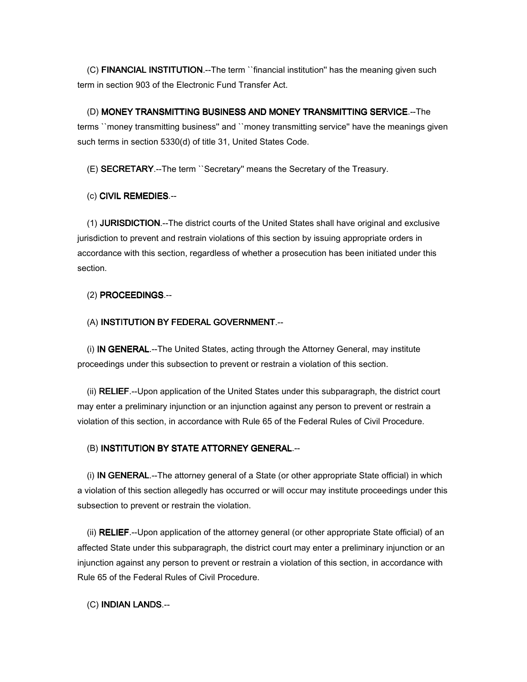(C) FINANCIAL INSTITUTION.--The term "financial institution" has the meaning given such term in section 903 of the Electronic Fund Transfer Act.

(D) MONEY TRANSMITTING BUSINESS AND MONEY TRANSMITTING SERVICE .-- The terms ``money transmitting business'' and ``money transmitting service'' have the meanings given such terms in section 5330(d) of title 31, United States Code.

 $(E)$  SECRETARY.--The term ``Secretary'' means the Secretary of the Treasury.

(c) CIVIL REMEDIES.--

(1) JURISDICTION.--The district courts of the United States shall have original and exclusive jurisdiction to prevent and restrain violations of this section by issuing appropriate orders in accordance with this section, regardless of whether a prosecution has been initiated under this section.

(2) PROCEEDINGS.--

## (A) INSTITUTION BY FEDERAL GOVERNMENT.--

(i) IN GENERAL --- The United States, acting through the Attorney General, may institute proceedings under this subsection to prevent or restrain a violation of this section.

 (ii) RELIEF.--Upon application of the United States under this subparagraph, the district court may enter a preliminary injunction or an injunction against any person to prevent or restrain a violation of this section, in accordance with Rule 65 of the Federal Rules of Civil Procedure.

# (B) INSTITUTION BY STATE ATTORNEY GENERAL.--

(i) IN GENERAL --The attorney general of a State (or other appropriate State official) in which a violation of this section allegedly has occurred or will occur may institute proceedings under this subsection to prevent or restrain the violation.

 (ii) RELIEF.--Upon application of the attorney general (or other appropriate State official) of an affected State under this subparagraph, the district court may enter a preliminary injunction or an injunction against any person to prevent or restrain a violation of this section, in accordance with Rule 65 of the Federal Rules of Civil Procedure.

(C) INDIAN LANDS.--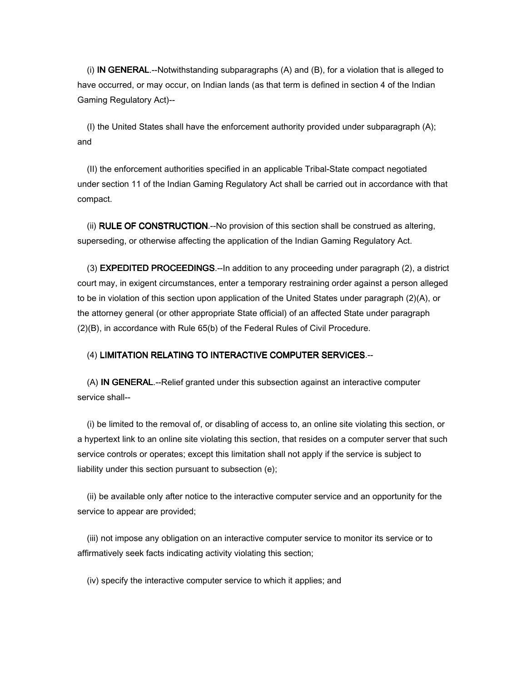(i) IN GENERAL  $-$ -Notwithstanding subparagraphs  $(A)$  and  $(B)$ , for a violation that is alleged to have occurred, or may occur, on Indian lands (as that term is defined in section 4 of the Indian Gaming Regulatory Act)--

 (I) the United States shall have the enforcement authority provided under subparagraph (A); and

 (II) the enforcement authorities specified in an applicable Tribal-State compact negotiated under section 11 of the Indian Gaming Regulatory Act shall be carried out in accordance with that compact.

(ii) RULE OF CONSTRUCTION.--No provision of this section shall be construed as altering, superseding, or otherwise affecting the application of the Indian Gaming Regulatory Act.

(3) EXPEDITED PROCEEDINGS.--In addition to any proceeding under paragraph (2), a district court may, in exigent circumstances, enter a temporary restraining order against a person alleged to be in violation of this section upon application of the United States under paragraph (2)(A), or the attorney general (or other appropriate State official) of an affected State under paragraph (2)(B), in accordance with Rule 65(b) of the Federal Rules of Civil Procedure.

#### (4) LIMITATION RELATING TO INTERACTIVE COMPUTER SERVICES.--

(A) IN GENERAL .-- Relief granted under this subsection against an interactive computer service shall--

 (i) be limited to the removal of, or disabling of access to, an online site violating this section, or a hypertext link to an online site violating this section, that resides on a computer server that such service controls or operates; except this limitation shall not apply if the service is subject to liability under this section pursuant to subsection (e);

 (ii) be available only after notice to the interactive computer service and an opportunity for the service to appear are provided;

 (iii) not impose any obligation on an interactive computer service to monitor its service or to affirmatively seek facts indicating activity violating this section;

(iv) specify the interactive computer service to which it applies; and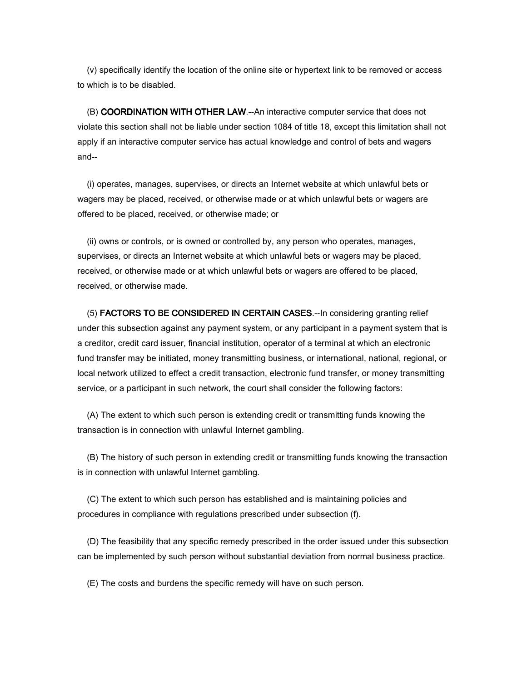(v) specifically identify the location of the online site or hypertext link to be removed or access to which is to be disabled.

 (B) COORDINATION WITH OTHER LAW.--An interactive computer service that does not violate this section shall not be liable under section 1084 of title 18, except this limitation shall not apply if an interactive computer service has actual knowledge and control of bets and wagers and--

 (i) operates, manages, supervises, or directs an Internet website at which unlawful bets or wagers may be placed, received, or otherwise made or at which unlawful bets or wagers are offered to be placed, received, or otherwise made; or

 (ii) owns or controls, or is owned or controlled by, any person who operates, manages, supervises, or directs an Internet website at which unlawful bets or wagers may be placed, received, or otherwise made or at which unlawful bets or wagers are offered to be placed, received, or otherwise made.

(5) **FACTORS TO BE CONSIDERED IN CERTAIN CASES.--In considering granting relief** under this subsection against any payment system, or any participant in a payment system that is a creditor, credit card issuer, financial institution, operator of a terminal at which an electronic fund transfer may be initiated, money transmitting business, or international, national, regional, or local network utilized to effect a credit transaction, electronic fund transfer, or money transmitting service, or a participant in such network, the court shall consider the following factors:

 (A) The extent to which such person is extending credit or transmitting funds knowing the transaction is in connection with unlawful Internet gambling.

 (B) The history of such person in extending credit or transmitting funds knowing the transaction is in connection with unlawful Internet gambling.

 (C) The extent to which such person has established and is maintaining policies and procedures in compliance with regulations prescribed under subsection (f).

 (D) The feasibility that any specific remedy prescribed in the order issued under this subsection can be implemented by such person without substantial deviation from normal business practice.

(E) The costs and burdens the specific remedy will have on such person.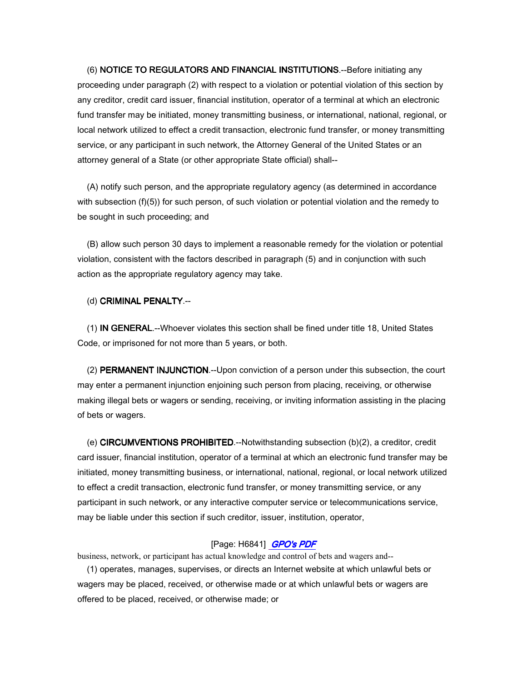(6) NOTICE TO REGULATORS AND FINANCIAL INSTITUTIONS.--Before initiating any proceeding under paragraph (2) with respect to a violation or potential violation of this section by any creditor, credit card issuer, financial institution, operator of a terminal at which an electronic fund transfer may be initiated, money transmitting business, or international, national, regional, or local network utilized to effect a credit transaction, electronic fund transfer, or money transmitting service, or any participant in such network, the Attorney General of the United States or an attorney general of a State (or other appropriate State official) shall--

 (A) notify such person, and the appropriate regulatory agency (as determined in accordance with subsection (f)(5)) for such person, of such violation or potential violation and the remedy to be sought in such proceeding; and

 (B) allow such person 30 days to implement a reasonable remedy for the violation or potential violation, consistent with the factors described in paragraph (5) and in conjunction with such action as the appropriate regulatory agency may take.

## (d) CRIMINAL PENALTY.--

(1) IN GENERAL.--Whoever violates this section shall be fined under title 18, United States Code, or imprisoned for not more than 5 years, or both.

(2) PERMANENT INJUNCTION.--Upon conviction of a person under this subsection, the court may enter a permanent injunction enjoining such person from placing, receiving, or otherwise making illegal bets or wagers or sending, receiving, or inviting information assisting in the placing of bets or wagers.

(e) CIRCUMVENTIONS PROHIBITED.--Notwithstanding subsection (b)(2), a creditor, credit card issuer, financial institution, operator of a terminal at which an electronic fund transfer may be initiated, money transmitting business, or international, national, regional, or local network utilized to effect a credit transaction, electronic fund transfer, or money transmitting service, or any participant in such network, or any interactive computer service or telecommunications service, may be liable under this section if such creditor, issuer, institution, operator,

#### [Page: H6841] **GPO's PDF**

business, network, or participant has actual knowledge and control of bets and wagers and-- (1) operates, manages, supervises, or directs an Internet website at which unlawful bets or wagers may be placed, received, or otherwise made or at which unlawful bets or wagers are offered to be placed, received, or otherwise made; or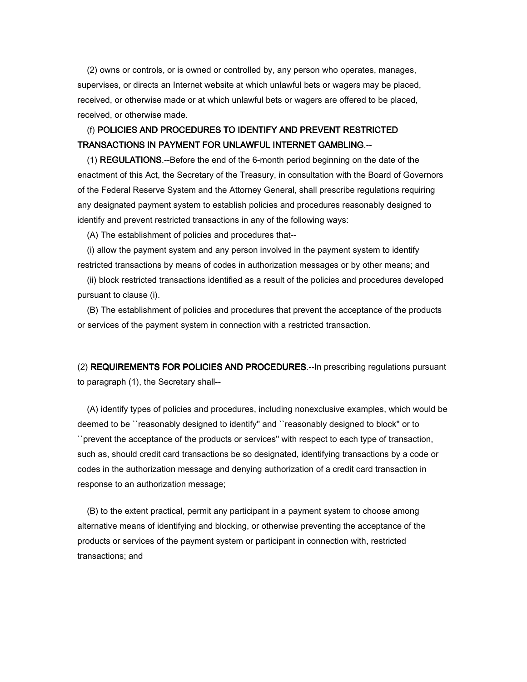(2) owns or controls, or is owned or controlled by, any person who operates, manages, supervises, or directs an Internet website at which unlawful bets or wagers may be placed, received, or otherwise made or at which unlawful bets or wagers are offered to be placed, received, or otherwise made.

# (f) POLICIES AND PROCEDURES TO IDENTIFY AND PREVENT RESTRICTED TRANSACTIONS IN PAYMENT FOR UNLAWFUL INTERNET GAMBLING.--

 $(1)$  REGULATIONS.--Before the end of the 6-month period beginning on the date of the enactment of this Act, the Secretary of the Treasury, in consultation with the Board of Governors of the Federal Reserve System and the Attorney General, shall prescribe regulations requiring any designated payment system to establish policies and procedures reasonably designed to identify and prevent restricted transactions in any of the following ways:

(A) The establishment of policies and procedures that--

 (i) allow the payment system and any person involved in the payment system to identify restricted transactions by means of codes in authorization messages or by other means; and

 (ii) block restricted transactions identified as a result of the policies and procedures developed pursuant to clause (i).

 (B) The establishment of policies and procedures that prevent the acceptance of the products or services of the payment system in connection with a restricted transaction.

(2) REQUIREMENTS FOR POLICIES AND PROCEDURES.--In prescribing regulations pursuant to paragraph (1), the Secretary shall--

 (A) identify types of policies and procedures, including nonexclusive examples, which would be deemed to be ``reasonably designed to identify'' and ``reasonably designed to block'' or to ``prevent the acceptance of the products or services'' with respect to each type of transaction, such as, should credit card transactions be so designated, identifying transactions by a code or codes in the authorization message and denying authorization of a credit card transaction in response to an authorization message;

 (B) to the extent practical, permit any participant in a payment system to choose among alternative means of identifying and blocking, or otherwise preventing the acceptance of the products or services of the payment system or participant in connection with, restricted transactions; and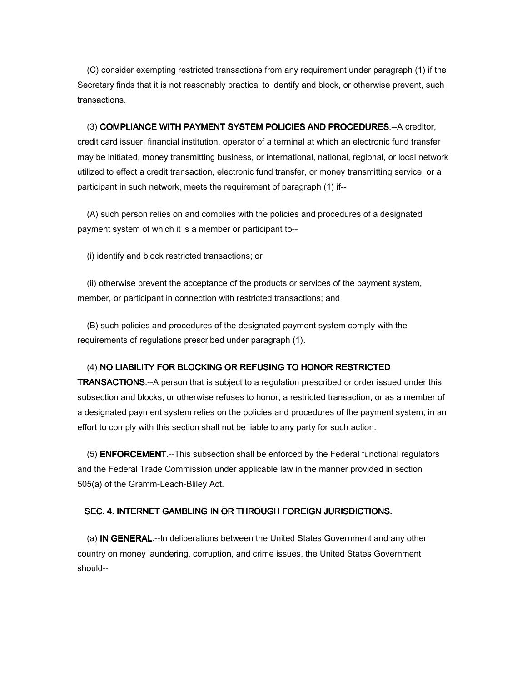(C) consider exempting restricted transactions from any requirement under paragraph (1) if the Secretary finds that it is not reasonably practical to identify and block, or otherwise prevent, such transactions.

(3) COMPLIANCE WITH PAYMENT SYSTEM POLICIES AND PROCEDURES.--A creditor, credit card issuer, financial institution, operator of a terminal at which an electronic fund transfer may be initiated, money transmitting business, or international, national, regional, or local network utilized to effect a credit transaction, electronic fund transfer, or money transmitting service, or a participant in such network, meets the requirement of paragraph (1) if--

 (A) such person relies on and complies with the policies and procedures of a designated payment system of which it is a member or participant to--

(i) identify and block restricted transactions; or

 (ii) otherwise prevent the acceptance of the products or services of the payment system, member, or participant in connection with restricted transactions; and

 (B) such policies and procedures of the designated payment system comply with the requirements of regulations prescribed under paragraph (1).

#### (4) NO LIABILITY FOR BLOCKING OR REFUSING TO HONOR RESTRICTED

TRANSACTIONS.--A person that is subject to a regulation prescribed or order issued under this subsection and blocks, or otherwise refuses to honor, a restricted transaction, or as a member of a designated payment system relies on the policies and procedures of the payment system, in an effort to comply with this section shall not be liable to any party for such action.

(5) ENFORCEMENT.--This subsection shall be enforced by the Federal functional regulators and the Federal Trade Commission under applicable law in the manner provided in section 505(a) of the Gramm-Leach-Bliley Act.

## SEC. 4. INTERNET GAMBLING IN OR THROUGH FOREIGN JURISDICTIONS.

(a) IN GENERAL.--In deliberations between the United States Government and any other country on money laundering, corruption, and crime issues, the United States Government should--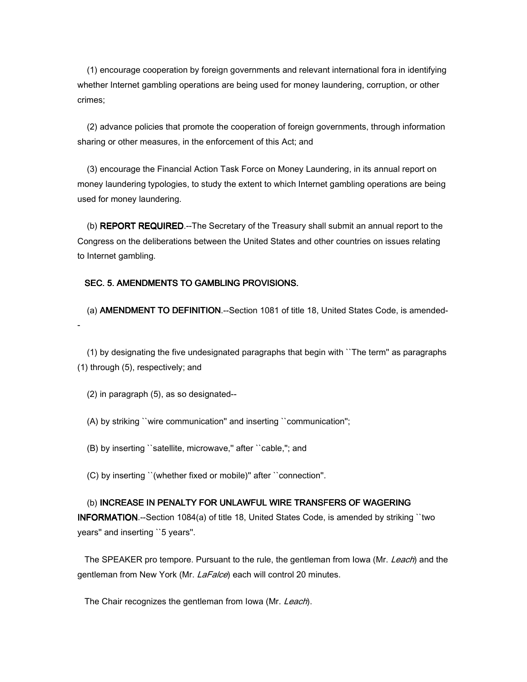(1) encourage cooperation by foreign governments and relevant international fora in identifying whether Internet gambling operations are being used for money laundering, corruption, or other crimes;

 (2) advance policies that promote the cooperation of foreign governments, through information sharing or other measures, in the enforcement of this Act; and

 (3) encourage the Financial Action Task Force on Money Laundering, in its annual report on money laundering typologies, to study the extent to which Internet gambling operations are being used for money laundering.

(b) REPORT REQUIRED.--The Secretary of the Treasury shall submit an annual report to the Congress on the deliberations between the United States and other countries on issues relating to Internet gambling.

### SEC. 5. AMENDMENTS TO GAMBLING PROVISIONS.

(a) **AMENDMENT TO DEFINITION** --Section 1081 of title 18, United States Code, is amended--

 (1) by designating the five undesignated paragraphs that begin with ``The term'' as paragraphs (1) through (5), respectively; and

(2) in paragraph (5), as so designated--

- (A) by striking ``wire communication'' and inserting ``communication'';
- (B) by inserting ``satellite, microwave,'' after ``cable,''; and
- (C) by inserting ``(whether fixed or mobile)'' after ``connection''.

#### (b) INCREASE IN PENALTY FOR UNLAWFUL WIRE TRANSFERS OF WAGERING

**INFORMATION.**--Section 1084(a) of title 18, United States Code, is amended by striking "two years'' and inserting ``5 years''.

The SPEAKER pro tempore. Pursuant to the rule, the gentleman from lowa (Mr. Leach) and the gentleman from New York (Mr. LaFalce) each will control 20 minutes.

The Chair recognizes the gentleman from Iowa (Mr. Leach).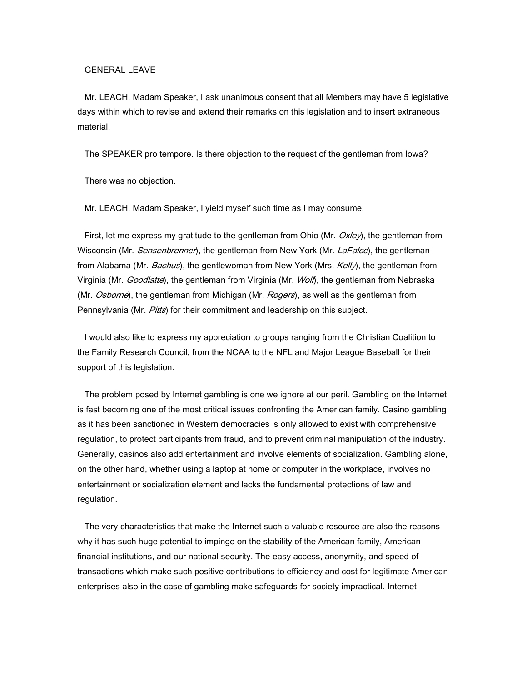GENERAL LEAVE

 Mr. LEACH. Madam Speaker, I ask unanimous consent that all Members may have 5 legislative days within which to revise and extend their remarks on this legislation and to insert extraneous material.

The SPEAKER pro tempore. Is there objection to the request of the gentleman from Iowa?

There was no objection.

Mr. LEACH. Madam Speaker, I yield myself such time as I may consume.

First, let me express my gratitude to the gentleman from Ohio (Mr.  $Ox/\langle e \rangle$ ), the gentleman from Wisconsin (Mr. *Sensenbrenner*), the gentleman from New York (Mr. LaFalce), the gentleman from Alabama (Mr. Bachus), the gentlewoman from New York (Mrs. Kelly), the gentleman from Virginia (Mr. *Goodlatte*), the gentleman from Virginia (Mr. *Wolf*), the gentleman from Nebraska (Mr. *Osborne*), the gentleman from Michigan (Mr. *Rogers*), as well as the gentleman from Pennsylvania (Mr. Pitts) for their commitment and leadership on this subject.

 I would also like to express my appreciation to groups ranging from the Christian Coalition to the Family Research Council, from the NCAA to the NFL and Major League Baseball for their support of this legislation.

 The problem posed by Internet gambling is one we ignore at our peril. Gambling on the Internet is fast becoming one of the most critical issues confronting the American family. Casino gambling as it has been sanctioned in Western democracies is only allowed to exist with comprehensive regulation, to protect participants from fraud, and to prevent criminal manipulation of the industry. Generally, casinos also add entertainment and involve elements of socialization. Gambling alone, on the other hand, whether using a laptop at home or computer in the workplace, involves no entertainment or socialization element and lacks the fundamental protections of law and regulation.

 The very characteristics that make the Internet such a valuable resource are also the reasons why it has such huge potential to impinge on the stability of the American family, American financial institutions, and our national security. The easy access, anonymity, and speed of transactions which make such positive contributions to efficiency and cost for legitimate American enterprises also in the case of gambling make safeguards for society impractical. Internet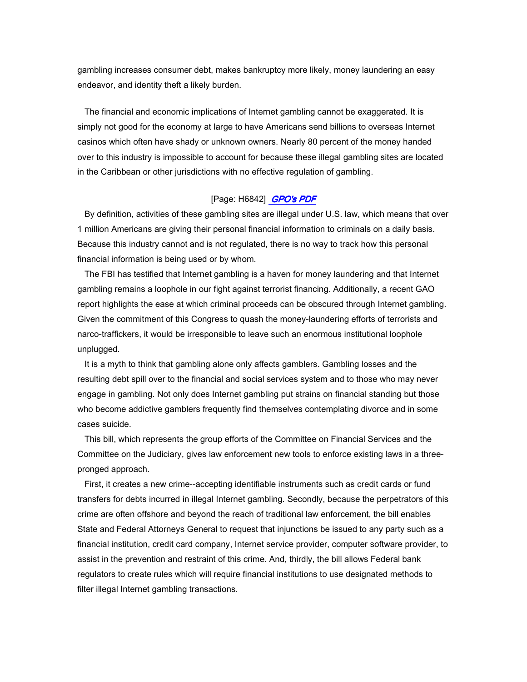gambling increases consumer debt, makes bankruptcy more likely, money laundering an easy endeavor, and identity theft a likely burden.

 The financial and economic implications of Internet gambling cannot be exaggerated. It is simply not good for the economy at large to have Americans send billions to overseas Internet casinos which often have shady or unknown owners. Nearly 80 percent of the money handed over to this industry is impossible to account for because these illegal gambling sites are located in the Caribbean or other jurisdictions with no effective regulation of gambling.

#### [Page: H6842] **GPO's PDF**

 By definition, activities of these gambling sites are illegal under U.S. law, which means that over 1 million Americans are giving their personal financial information to criminals on a daily basis. Because this industry cannot and is not regulated, there is no way to track how this personal financial information is being used or by whom.

 The FBI has testified that Internet gambling is a haven for money laundering and that Internet gambling remains a loophole in our fight against terrorist financing. Additionally, a recent GAO report highlights the ease at which criminal proceeds can be obscured through Internet gambling. Given the commitment of this Congress to quash the money-laundering efforts of terrorists and narco-traffickers, it would be irresponsible to leave such an enormous institutional loophole unplugged.

 It is a myth to think that gambling alone only affects gamblers. Gambling losses and the resulting debt spill over to the financial and social services system and to those who may never engage in gambling. Not only does Internet gambling put strains on financial standing but those who become addictive gamblers frequently find themselves contemplating divorce and in some cases suicide.

 This bill, which represents the group efforts of the Committee on Financial Services and the Committee on the Judiciary, gives law enforcement new tools to enforce existing laws in a threepronged approach.

 First, it creates a new crime--accepting identifiable instruments such as credit cards or fund transfers for debts incurred in illegal Internet gambling. Secondly, because the perpetrators of this crime are often offshore and beyond the reach of traditional law enforcement, the bill enables State and Federal Attorneys General to request that injunctions be issued to any party such as a financial institution, credit card company, Internet service provider, computer software provider, to assist in the prevention and restraint of this crime. And, thirdly, the bill allows Federal bank regulators to create rules which will require financial institutions to use designated methods to filter illegal Internet gambling transactions.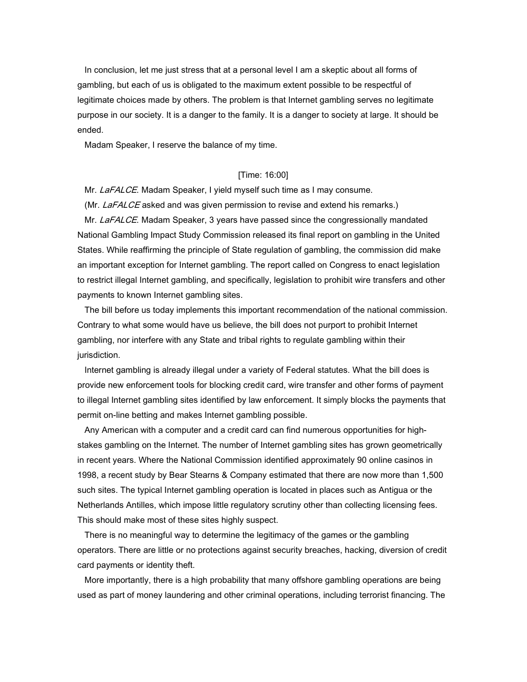In conclusion, let me just stress that at a personal level I am a skeptic about all forms of gambling, but each of us is obligated to the maximum extent possible to be respectful of legitimate choices made by others. The problem is that Internet gambling serves no legitimate purpose in our society. It is a danger to the family. It is a danger to society at large. It should be ended.

Madam Speaker, I reserve the balance of my time.

# [Time: 16:00]

Mr. LaFALCE. Madam Speaker, I yield myself such time as I may consume.

(Mr. LaFALCE asked and was given permission to revise and extend his remarks.)

Mr. *LaFALCE*. Madam Speaker, 3 years have passed since the congressionally mandated National Gambling Impact Study Commission released its final report on gambling in the United States. While reaffirming the principle of State regulation of gambling, the commission did make an important exception for Internet gambling. The report called on Congress to enact legislation to restrict illegal Internet gambling, and specifically, legislation to prohibit wire transfers and other payments to known Internet gambling sites.

 The bill before us today implements this important recommendation of the national commission. Contrary to what some would have us believe, the bill does not purport to prohibit Internet gambling, nor interfere with any State and tribal rights to regulate gambling within their jurisdiction.

 Internet gambling is already illegal under a variety of Federal statutes. What the bill does is provide new enforcement tools for blocking credit card, wire transfer and other forms of payment to illegal Internet gambling sites identified by law enforcement. It simply blocks the payments that permit on-line betting and makes Internet gambling possible.

 Any American with a computer and a credit card can find numerous opportunities for highstakes gambling on the Internet. The number of Internet gambling sites has grown geometrically in recent years. Where the National Commission identified approximately 90 online casinos in 1998, a recent study by Bear Stearns & Company estimated that there are now more than 1,500 such sites. The typical Internet gambling operation is located in places such as Antigua or the Netherlands Antilles, which impose little regulatory scrutiny other than collecting licensing fees. This should make most of these sites highly suspect.

 There is no meaningful way to determine the legitimacy of the games or the gambling operators. There are little or no protections against security breaches, hacking, diversion of credit card payments or identity theft.

 More importantly, there is a high probability that many offshore gambling operations are being used as part of money laundering and other criminal operations, including terrorist financing. The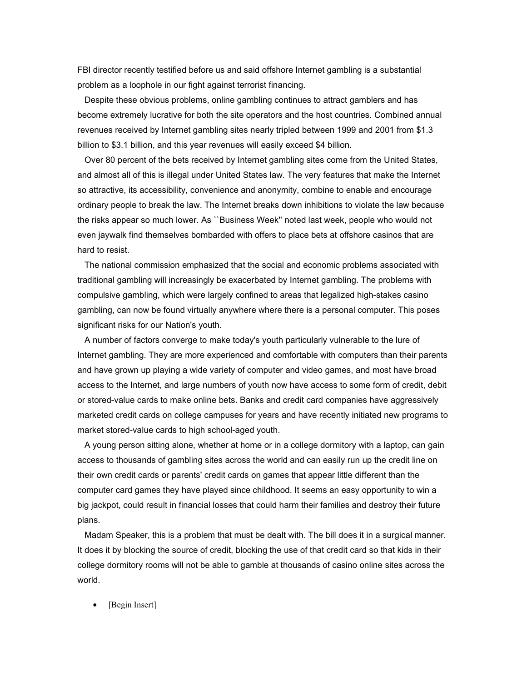FBI director recently testified before us and said offshore Internet gambling is a substantial problem as a loophole in our fight against terrorist financing.

 Despite these obvious problems, online gambling continues to attract gamblers and has become extremely lucrative for both the site operators and the host countries. Combined annual revenues received by Internet gambling sites nearly tripled between 1999 and 2001 from \$1.3 billion to \$3.1 billion, and this year revenues will easily exceed \$4 billion.

 Over 80 percent of the bets received by Internet gambling sites come from the United States, and almost all of this is illegal under United States law. The very features that make the Internet so attractive, its accessibility, convenience and anonymity, combine to enable and encourage ordinary people to break the law. The Internet breaks down inhibitions to violate the law because the risks appear so much lower. As ``Business Week'' noted last week, people who would not even jaywalk find themselves bombarded with offers to place bets at offshore casinos that are hard to resist.

 The national commission emphasized that the social and economic problems associated with traditional gambling will increasingly be exacerbated by Internet gambling. The problems with compulsive gambling, which were largely confined to areas that legalized high-stakes casino gambling, can now be found virtually anywhere where there is a personal computer. This poses significant risks for our Nation's youth.

 A number of factors converge to make today's youth particularly vulnerable to the lure of Internet gambling. They are more experienced and comfortable with computers than their parents and have grown up playing a wide variety of computer and video games, and most have broad access to the Internet, and large numbers of youth now have access to some form of credit, debit or stored-value cards to make online bets. Banks and credit card companies have aggressively marketed credit cards on college campuses for years and have recently initiated new programs to market stored-value cards to high school-aged youth.

 A young person sitting alone, whether at home or in a college dormitory with a laptop, can gain access to thousands of gambling sites across the world and can easily run up the credit line on their own credit cards or parents' credit cards on games that appear little different than the computer card games they have played since childhood. It seems an easy opportunity to win a big jackpot, could result in financial losses that could harm their families and destroy their future plans.

 Madam Speaker, this is a problem that must be dealt with. The bill does it in a surgical manner. It does it by blocking the source of credit, blocking the use of that credit card so that kids in their college dormitory rooms will not be able to gamble at thousands of casino online sites across the world.

• [Begin Insert]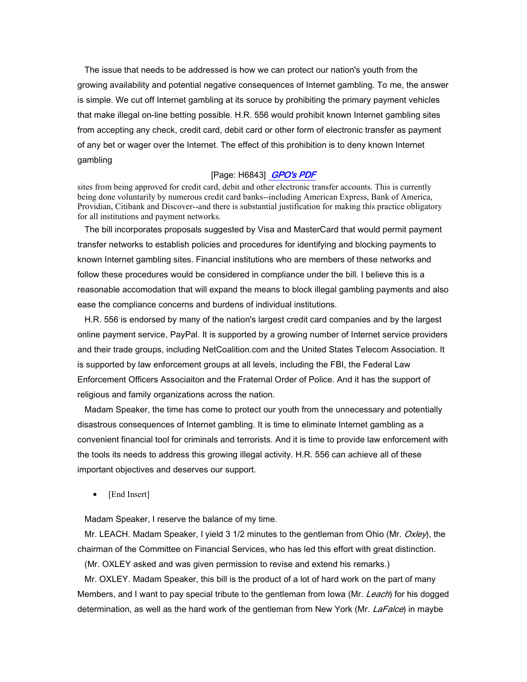The issue that needs to be addressed is how we can protect our nation's youth from the growing availability and potential negative consequences of Internet gambling. To me, the answer is simple. We cut off Internet gambling at its soruce by prohibiting the primary payment vehicles that make illegal on-line betting possible. H.R. 556 would prohibit known Internet gambling sites from accepting any check, credit card, debit card or other form of electronic transfer as payment of any bet or wager over the Internet. The effect of this prohibition is to deny known Internet gambling

## [Page: H6843] **GPO's PDF**

sites from being approved for credit card, debit and other electronic transfer accounts. This is currently being done voluntarily by numerous credit card banks--including American Express, Bank of America, Providian, Citibank and Discover--and there is substantial justification for making this practice obligatory for all institutions and payment networks.

 The bill incorporates proposals suggested by Visa and MasterCard that would permit payment transfer networks to establish policies and procedures for identifying and blocking payments to known Internet gambling sites. Financial institutions who are members of these networks and follow these procedures would be considered in compliance under the bill. I believe this is a reasonable accomodation that will expand the means to block illegal gambling payments and also ease the compliance concerns and burdens of individual institutions.

 H.R. 556 is endorsed by many of the nation's largest credit card companies and by the largest online payment service, PayPal. It is supported by a growing number of Internet service providers and their trade groups, including NetCoalition.com and the United States Telecom Association. It is supported by law enforcement groups at all levels, including the FBI, the Federal Law Enforcement Officers Associaiton and the Fraternal Order of Police. And it has the support of religious and family organizations across the nation.

 Madam Speaker, the time has come to protect our youth from the unnecessary and potentially disastrous consequences of Internet gambling. It is time to eliminate Internet gambling as a convenient financial tool for criminals and terrorists. And it is time to provide law enforcement with the tools its needs to address this growing illegal activity. H.R. 556 can achieve all of these important objectives and deserves our support.

• [End Insert]

Madam Speaker, I reserve the balance of my time.

Mr. LEACH. Madam Speaker, I yield 3 1/2 minutes to the gentleman from Ohio (Mr.  $Ox/\langle e \rangle$ ), the chairman of the Committee on Financial Services, who has led this effort with great distinction.

(Mr. OXLEY asked and was given permission to revise and extend his remarks.)

 Mr. OXLEY. Madam Speaker, this bill is the product of a lot of hard work on the part of many Members, and I want to pay special tribute to the gentleman from Iowa (Mr. Leach) for his dogged determination, as well as the hard work of the gentleman from New York (Mr. *LaFalce*) in maybe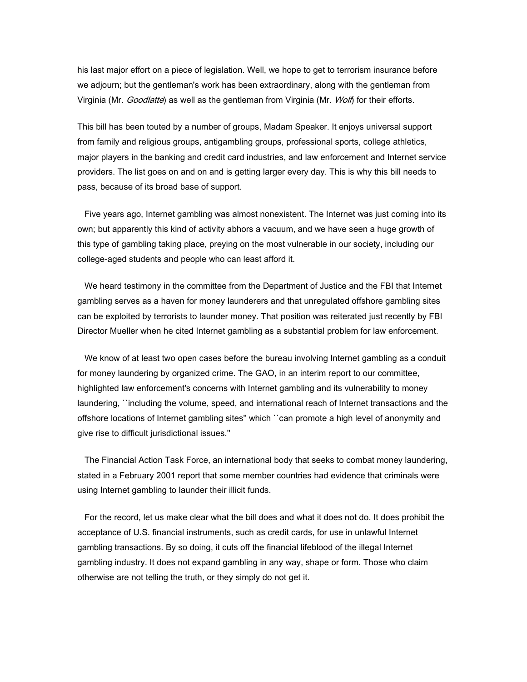his last major effort on a piece of legislation. Well, we hope to get to terrorism insurance before we adjourn; but the gentleman's work has been extraordinary, along with the gentleman from Virginia (Mr. Goodlatte) as well as the gentleman from Virginia (Mr. Wolf) for their efforts.

This bill has been touted by a number of groups, Madam Speaker. It enjoys universal support from family and religious groups, antigambling groups, professional sports, college athletics, major players in the banking and credit card industries, and law enforcement and Internet service providers. The list goes on and on and is getting larger every day. This is why this bill needs to pass, because of its broad base of support.

 Five years ago, Internet gambling was almost nonexistent. The Internet was just coming into its own; but apparently this kind of activity abhors a vacuum, and we have seen a huge growth of this type of gambling taking place, preying on the most vulnerable in our society, including our college-aged students and people who can least afford it.

 We heard testimony in the committee from the Department of Justice and the FBI that Internet gambling serves as a haven for money launderers and that unregulated offshore gambling sites can be exploited by terrorists to launder money. That position was reiterated just recently by FBI Director Mueller when he cited Internet gambling as a substantial problem for law enforcement.

 We know of at least two open cases before the bureau involving Internet gambling as a conduit for money laundering by organized crime. The GAO, in an interim report to our committee, highlighted law enforcement's concerns with Internet gambling and its vulnerability to money laundering, ``including the volume, speed, and international reach of Internet transactions and the offshore locations of Internet gambling sites'' which ``can promote a high level of anonymity and give rise to difficult jurisdictional issues.''

 The Financial Action Task Force, an international body that seeks to combat money laundering, stated in a February 2001 report that some member countries had evidence that criminals were using Internet gambling to launder their illicit funds.

 For the record, let us make clear what the bill does and what it does not do. It does prohibit the acceptance of U.S. financial instruments, such as credit cards, for use in unlawful Internet gambling transactions. By so doing, it cuts off the financial lifeblood of the illegal Internet gambling industry. It does not expand gambling in any way, shape or form. Those who claim otherwise are not telling the truth, or they simply do not get it.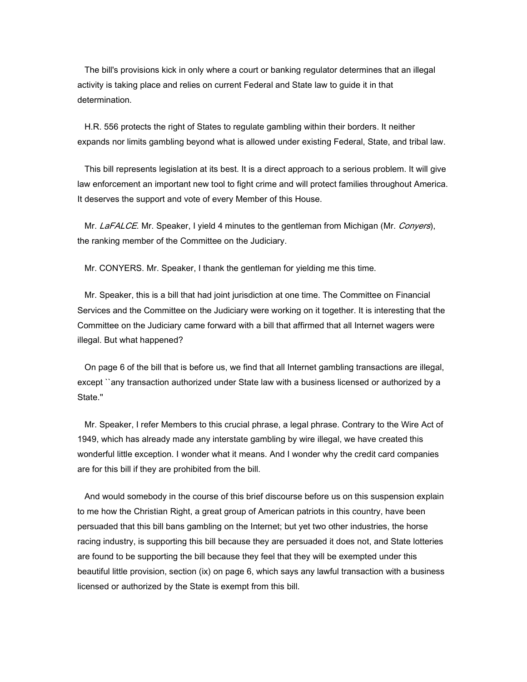The bill's provisions kick in only where a court or banking regulator determines that an illegal activity is taking place and relies on current Federal and State law to guide it in that determination.

 H.R. 556 protects the right of States to regulate gambling within their borders. It neither expands nor limits gambling beyond what is allowed under existing Federal, State, and tribal law.

 This bill represents legislation at its best. It is a direct approach to a serious problem. It will give law enforcement an important new tool to fight crime and will protect families throughout America. It deserves the support and vote of every Member of this House.

Mr. LaFALCE. Mr. Speaker, I yield 4 minutes to the gentleman from Michigan (Mr. Conyers), the ranking member of the Committee on the Judiciary.

Mr. CONYERS. Mr. Speaker, I thank the gentleman for yielding me this time.

 Mr. Speaker, this is a bill that had joint jurisdiction at one time. The Committee on Financial Services and the Committee on the Judiciary were working on it together. It is interesting that the Committee on the Judiciary came forward with a bill that affirmed that all Internet wagers were illegal. But what happened?

 On page 6 of the bill that is before us, we find that all Internet gambling transactions are illegal, except ``any transaction authorized under State law with a business licensed or authorized by a State.''

 Mr. Speaker, I refer Members to this crucial phrase, a legal phrase. Contrary to the Wire Act of 1949, which has already made any interstate gambling by wire illegal, we have created this wonderful little exception. I wonder what it means. And I wonder why the credit card companies are for this bill if they are prohibited from the bill.

 And would somebody in the course of this brief discourse before us on this suspension explain to me how the Christian Right, a great group of American patriots in this country, have been persuaded that this bill bans gambling on the Internet; but yet two other industries, the horse racing industry, is supporting this bill because they are persuaded it does not, and State lotteries are found to be supporting the bill because they feel that they will be exempted under this beautiful little provision, section (ix) on page 6, which says any lawful transaction with a business licensed or authorized by the State is exempt from this bill.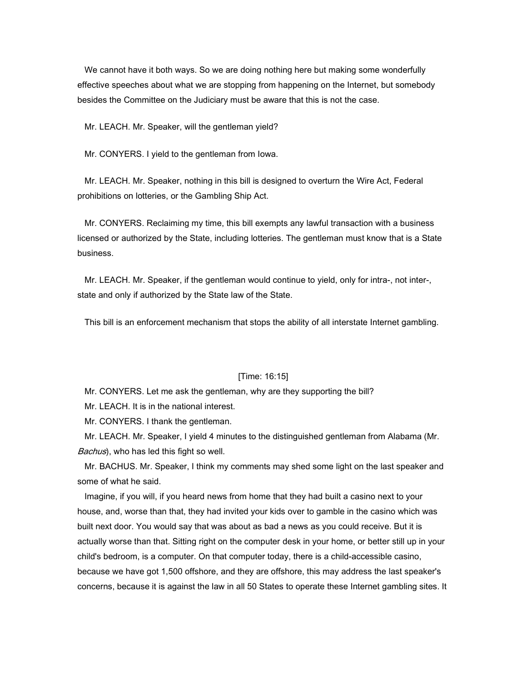We cannot have it both ways. So we are doing nothing here but making some wonderfully effective speeches about what we are stopping from happening on the Internet, but somebody besides the Committee on the Judiciary must be aware that this is not the case.

Mr. LEACH. Mr. Speaker, will the gentleman yield?

Mr. CONYERS. I yield to the gentleman from Iowa.

 Mr. LEACH. Mr. Speaker, nothing in this bill is designed to overturn the Wire Act, Federal prohibitions on lotteries, or the Gambling Ship Act.

 Mr. CONYERS. Reclaiming my time, this bill exempts any lawful transaction with a business licensed or authorized by the State, including lotteries. The gentleman must know that is a State business.

 Mr. LEACH. Mr. Speaker, if the gentleman would continue to yield, only for intra-, not inter-, state and only if authorized by the State law of the State.

This bill is an enforcement mechanism that stops the ability of all interstate Internet gambling.

## [Time: 16:15]

Mr. CONYERS. Let me ask the gentleman, why are they supporting the bill?

Mr. LEACH. It is in the national interest.

Mr. CONYERS. I thank the gentleman.

 Mr. LEACH. Mr. Speaker, I yield 4 minutes to the distinguished gentleman from Alabama (Mr. Bachus), who has led this fight so well.

 Mr. BACHUS. Mr. Speaker, I think my comments may shed some light on the last speaker and some of what he said.

 Imagine, if you will, if you heard news from home that they had built a casino next to your house, and, worse than that, they had invited your kids over to gamble in the casino which was built next door. You would say that was about as bad a news as you could receive. But it is actually worse than that. Sitting right on the computer desk in your home, or better still up in your child's bedroom, is a computer. On that computer today, there is a child-accessible casino, because we have got 1,500 offshore, and they are offshore, this may address the last speaker's concerns, because it is against the law in all 50 States to operate these Internet gambling sites. It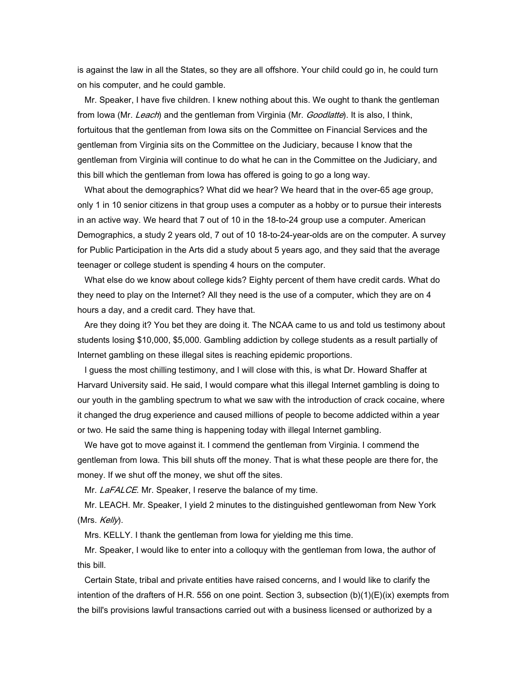is against the law in all the States, so they are all offshore. Your child could go in, he could turn on his computer, and he could gamble.

 Mr. Speaker, I have five children. I knew nothing about this. We ought to thank the gentleman from Iowa (Mr. Leach) and the gentleman from Virginia (Mr. *Goodlatte*). It is also, I think, fortuitous that the gentleman from Iowa sits on the Committee on Financial Services and the gentleman from Virginia sits on the Committee on the Judiciary, because I know that the gentleman from Virginia will continue to do what he can in the Committee on the Judiciary, and this bill which the gentleman from Iowa has offered is going to go a long way.

 What about the demographics? What did we hear? We heard that in the over-65 age group, only 1 in 10 senior citizens in that group uses a computer as a hobby or to pursue their interests in an active way. We heard that 7 out of 10 in the 18-to-24 group use a computer. American Demographics, a study 2 years old, 7 out of 10 18-to-24-year-olds are on the computer. A survey for Public Participation in the Arts did a study about 5 years ago, and they said that the average teenager or college student is spending 4 hours on the computer.

 What else do we know about college kids? Eighty percent of them have credit cards. What do they need to play on the Internet? All they need is the use of a computer, which they are on 4 hours a day, and a credit card. They have that.

 Are they doing it? You bet they are doing it. The NCAA came to us and told us testimony about students losing \$10,000, \$5,000. Gambling addiction by college students as a result partially of Internet gambling on these illegal sites is reaching epidemic proportions.

 I guess the most chilling testimony, and I will close with this, is what Dr. Howard Shaffer at Harvard University said. He said, I would compare what this illegal Internet gambling is doing to our youth in the gambling spectrum to what we saw with the introduction of crack cocaine, where it changed the drug experience and caused millions of people to become addicted within a year or two. He said the same thing is happening today with illegal Internet gambling.

 We have got to move against it. I commend the gentleman from Virginia. I commend the gentleman from Iowa. This bill shuts off the money. That is what these people are there for, the money. If we shut off the money, we shut off the sites.

Mr. *LaFALCE*. Mr. Speaker, I reserve the balance of my time.

 Mr. LEACH. Mr. Speaker, I yield 2 minutes to the distinguished gentlewoman from New York (Mrs.  $Kelly$ ).

Mrs. KELLY. I thank the gentleman from Iowa for yielding me this time.

 Mr. Speaker, I would like to enter into a colloquy with the gentleman from Iowa, the author of this bill.

 Certain State, tribal and private entities have raised concerns, and I would like to clarify the intention of the drafters of H.R. 556 on one point. Section 3, subsection (b)(1)(E)(ix) exempts from the bill's provisions lawful transactions carried out with a business licensed or authorized by a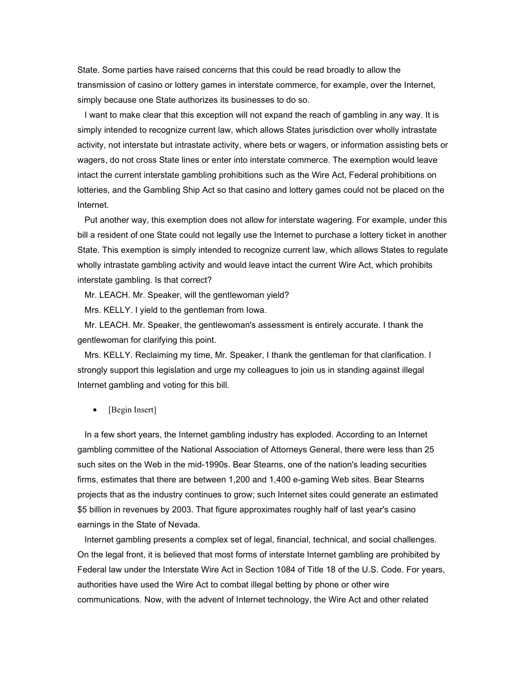State. Some parties have raised concerns that this could be read broadly to allow the transmission of casino or lottery games in interstate commerce, for example, over the Internet, simply because one State authorizes its businesses to do so.

 I want to make clear that this exception will not expand the reach of gambling in any way. It is simply intended to recognize current law, which allows States jurisdiction over wholly intrastate activity, not interstate but intrastate activity, where bets or wagers, or information assisting bets or wagers, do not cross State lines or enter into interstate commerce. The exemption would leave intact the current interstate gambling prohibitions such as the Wire Act, Federal prohibitions on lotteries, and the Gambling Ship Act so that casino and lottery games could not be placed on the Internet.

 Put another way, this exemption does not allow for interstate wagering. For example, under this bill a resident of one State could not legally use the Internet to purchase a lottery ticket in another State. This exemption is simply intended to recognize current law, which allows States to regulate wholly intrastate gambling activity and would leave intact the current Wire Act, which prohibits interstate gambling. Is that correct?

Mr. LEACH. Mr. Speaker, will the gentlewoman yield?

Mrs. KELLY. I yield to the gentleman from Iowa.

 Mr. LEACH. Mr. Speaker, the gentlewoman's assessment is entirely accurate. I thank the gentlewoman for clarifying this point.

 Mrs. KELLY. Reclaiming my time, Mr. Speaker, I thank the gentleman for that clarification. I strongly support this legislation and urge my colleagues to join us in standing against illegal Internet gambling and voting for this bill.

• [Begin Insert]

 In a few short years, the Internet gambling industry has exploded. According to an Internet gambling committee of the National Association of Attorneys General, there were less than 25 such sites on the Web in the mid-1990s. Bear Stearns, one of the nation's leading securities firms, estimates that there are between 1,200 and 1,400 e-gaming Web sites. Bear Stearns projects that as the industry continues to grow; such Internet sites could generate an estimated \$5 billion in revenues by 2003. That figure approximates roughly half of last year's casino earnings in the State of Nevada.

 Internet gambling presents a complex set of legal, financial, technical, and social challenges. On the legal front, it is believed that most forms of interstate Internet gambling are prohibited by Federal law under the Interstate Wire Act in Section 1084 of Title 18 of the U.S. Code. For years, authorities have used the Wire Act to combat illegal betting by phone or other wire communications. Now, with the advent of Internet technology, the Wire Act and other related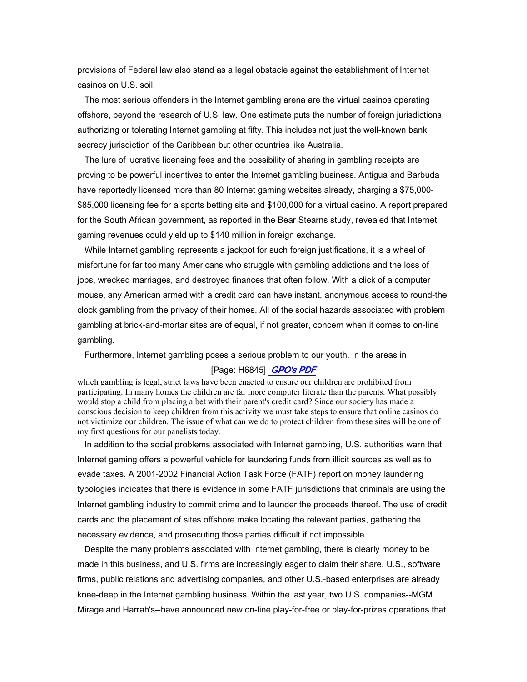provisions of Federal law also stand as a legal obstacle against the establishment of Internet casinos on U.S. soil.

 The most serious offenders in the Internet gambling arena are the virtual casinos operating offshore, beyond the research of U.S. law. One estimate puts the number of foreign jurisdictions authorizing or tolerating Internet gambling at fifty. This includes not just the well-known bank secrecy jurisdiction of the Caribbean but other countries like Australia.

 The lure of lucrative licensing fees and the possibility of sharing in gambling receipts are proving to be powerful incentives to enter the Internet gambling business. Antigua and Barbuda have reportedly licensed more than 80 Internet gaming websites already, charging a \$75,000- \$85,000 licensing fee for a sports betting site and \$100,000 for a virtual casino. A report prepared for the South African government, as reported in the Bear Stearns study, revealed that Internet gaming revenues could yield up to \$140 million in foreign exchange.

 While Internet gambling represents a jackpot for such foreign justifications, it is a wheel of misfortune for far too many Americans who struggle with gambling addictions and the loss of jobs, wrecked marriages, and destroyed finances that often follow. With a click of a computer mouse, any American armed with a credit card can have instant, anonymous access to round-the clock gambling from the privacy of their homes. All of the social hazards associated with problem gambling at brick-and-mortar sites are of equal, if not greater, concern when it comes to on-line gambling.

Furthermore, Internet gambling poses a serious problem to our youth. In the areas in

## [Page: H6845] **GPO's PDF**

which gambling is legal, strict laws have been enacted to ensure our children are prohibited from participating. In many homes the children are far more computer literate than the parents. What possibly would stop a child from placing a bet with their parent's credit card? Since our society has made a conscious decision to keep children from this activity we must take steps to ensure that online casinos do not victimize our children. The issue of what can we do to protect children from these sites will be one of my first questions for our panelists today.

 In addition to the social problems associated with Internet gambling, U.S. authorities warn that Internet gaming offers a powerful vehicle for laundering funds from illicit sources as well as to evade taxes. A 2001-2002 Financial Action Task Force (FATF) report on money laundering typologies indicates that there is evidence in some FATF jurisdictions that criminals are using the Internet gambling industry to commit crime and to launder the proceeds thereof. The use of credit cards and the placement of sites offshore make locating the relevant parties, gathering the necessary evidence, and prosecuting those parties difficult if not impossible.

 Despite the many problems associated with Internet gambling, there is clearly money to be made in this business, and U.S. firms are increasingly eager to claim their share. U.S., software firms, public relations and advertising companies, and other U.S.-based enterprises are already knee-deep in the Internet gambling business. Within the last year, two U.S. companies--MGM Mirage and Harrah's--have announced new on-line play-for-free or play-for-prizes operations that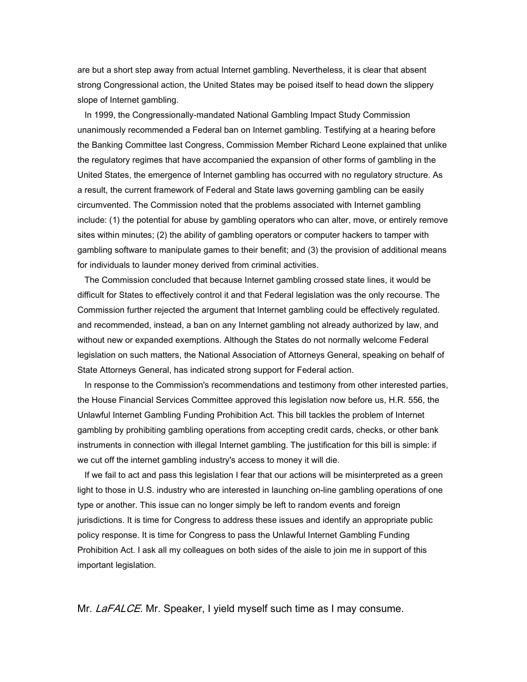are but a short step away from actual Internet gambling. Nevertheless, it is clear that absent strong Congressional action, the United States may be poised itself to head down the slippery slope of Internet gambling.

 In 1999, the Congressionally-mandated National Gambling Impact Study Commission unanimously recommended a Federal ban on Internet gambling. Testifying at a hearing before the Banking Committee last Congress, Commission Member Richard Leone explained that unlike the regulatory regimes that have accompanied the expansion of other forms of gambling in the United States, the emergence of Internet gambling has occurred with no regulatory structure. As a result, the current framework of Federal and State laws governing gambling can be easily circumvented. The Commission noted that the problems associated with Internet gambling include: (1) the potential for abuse by gambling operators who can alter, move, or entirely remove sites within minutes; (2) the ability of gambling operators or computer hackers to tamper with gambling software to manipulate games to their benefit; and (3) the provision of additional means for individuals to launder money derived from criminal activities.

 The Commission concluded that because Internet gambling crossed state lines, it would be difficult for States to effectively control it and that Federal legislation was the only recourse. The Commission further rejected the argument that Internet gambling could be effectively regulated. and recommended, instead, a ban on any Internet gambling not already authorized by law, and without new or expanded exemptions. Although the States do not normally welcome Federal legislation on such matters, the National Association of Attorneys General, speaking on behalf of State Attorneys General, has indicated strong support for Federal action.

 In response to the Commission's recommendations and testimony from other interested parties, the House Financial Services Committee approved this legislation now before us, H.R. 556, the Unlawful Internet Gambling Funding Prohibition Act. This bill tackles the problem of Internet gambling by prohibiting gambling operations from accepting credit cards, checks, or other bank instruments in connection with illegal Internet gambling. The justification for this bill is simple: if we cut off the internet gambling industry's access to money it will die.

 If we fail to act and pass this legislation I fear that our actions will be misinterpreted as a green light to those in U.S. industry who are interested in launching on-line gambling operations of one type or another. This issue can no longer simply be left to random events and foreign jurisdictions. It is time for Congress to address these issues and identify an appropriate public policy response. It is time for Congress to pass the Unlawful Internet Gambling Funding Prohibition Act. I ask all my colleagues on both sides of the aisle to join me in support of this important legislation.

Mr. LaFALCE. Mr. Speaker, I yield myself such time as I may consume.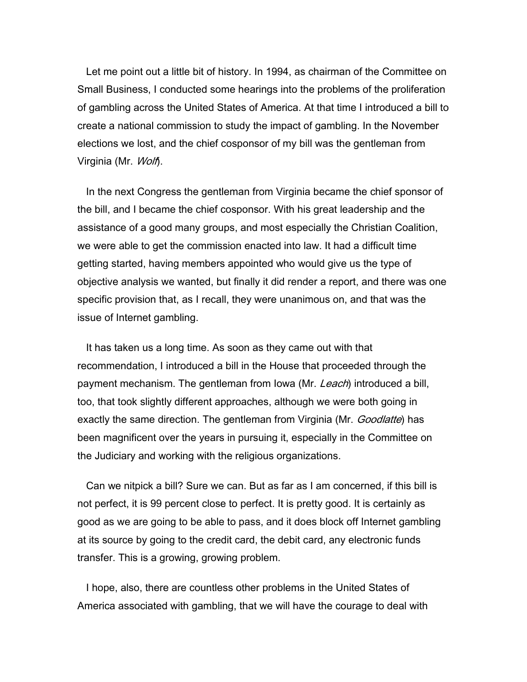Let me point out a little bit of history. In 1994, as chairman of the Committee on Small Business, I conducted some hearings into the problems of the proliferation of gambling across the United States of America. At that time I introduced a bill to create a national commission to study the impact of gambling. In the November elections we lost, and the chief cosponsor of my bill was the gentleman from Virginia (Mr. Wolf).

 In the next Congress the gentleman from Virginia became the chief sponsor of the bill, and I became the chief cosponsor. With his great leadership and the assistance of a good many groups, and most especially the Christian Coalition, we were able to get the commission enacted into law. It had a difficult time getting started, having members appointed who would give us the type of objective analysis we wanted, but finally it did render a report, and there was one specific provision that, as I recall, they were unanimous on, and that was the issue of Internet gambling.

 It has taken us a long time. As soon as they came out with that recommendation, I introduced a bill in the House that proceeded through the payment mechanism. The gentleman from Iowa (Mr. Leach) introduced a bill, too, that took slightly different approaches, although we were both going in exactly the same direction. The gentleman from Virginia (Mr. *Goodlatte*) has been magnificent over the years in pursuing it, especially in the Committee on the Judiciary and working with the religious organizations.

 Can we nitpick a bill? Sure we can. But as far as I am concerned, if this bill is not perfect, it is 99 percent close to perfect. It is pretty good. It is certainly as good as we are going to be able to pass, and it does block off Internet gambling at its source by going to the credit card, the debit card, any electronic funds transfer. This is a growing, growing problem.

 I hope, also, there are countless other problems in the United States of America associated with gambling, that we will have the courage to deal with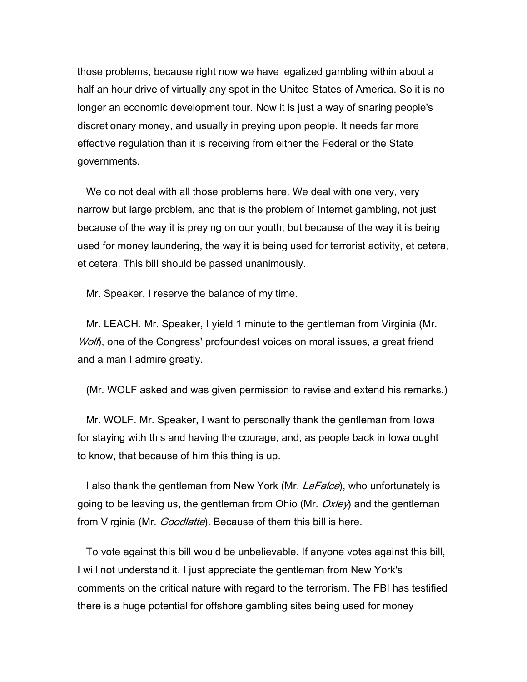those problems, because right now we have legalized gambling within about a half an hour drive of virtually any spot in the United States of America. So it is no longer an economic development tour. Now it is just a way of snaring people's discretionary money, and usually in preying upon people. It needs far more effective regulation than it is receiving from either the Federal or the State governments.

 We do not deal with all those problems here. We deal with one very, very narrow but large problem, and that is the problem of Internet gambling, not just because of the way it is preying on our youth, but because of the way it is being used for money laundering, the way it is being used for terrorist activity, et cetera, et cetera. This bill should be passed unanimously.

Mr. Speaker, I reserve the balance of my time.

 Mr. LEACH. Mr. Speaker, I yield 1 minute to the gentleman from Virginia (Mr. Wolf), one of the Congress' profoundest voices on moral issues, a great friend and a man I admire greatly.

(Mr. WOLF asked and was given permission to revise and extend his remarks.)

 Mr. WOLF. Mr. Speaker, I want to personally thank the gentleman from Iowa for staying with this and having the courage, and, as people back in Iowa ought to know, that because of him this thing is up.

I also thank the gentleman from New York (Mr. *LaFalce*), who unfortunately is going to be leaving us, the gentleman from Ohio (Mr.  $Ox/ey$ ) and the gentleman from Virginia (Mr. *Goodlatte*). Because of them this bill is here.

 To vote against this bill would be unbelievable. If anyone votes against this bill, I will not understand it. I just appreciate the gentleman from New York's comments on the critical nature with regard to the terrorism. The FBI has testified there is a huge potential for offshore gambling sites being used for money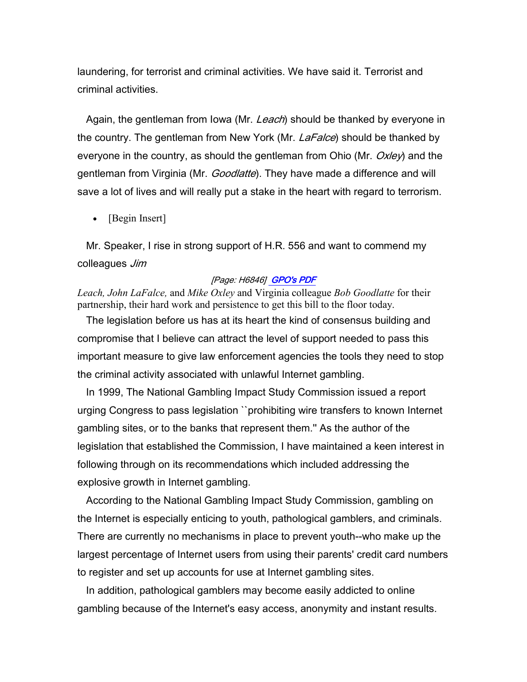laundering, for terrorist and criminal activities. We have said it. Terrorist and criminal activities.

Again, the gentleman from Iowa (Mr. Leach) should be thanked by everyone in the country. The gentleman from New York (Mr. *LaFalce*) should be thanked by everyone in the country, as should the gentleman from Ohio (Mr. Oxley) and the gentleman from Virginia (Mr. *Goodlatte*). They have made a difference and will save a lot of lives and will really put a stake in the heart with regard to terrorism.

• [Begin Insert]

 Mr. Speaker, I rise in strong support of H.R. 556 and want to commend my colleagues Jim

# [Page: H6846] GPO's PDF

*Leach, John LaFalce,* and *Mike Oxley* and Virginia colleague *Bob Goodlatte* for their partnership, their hard work and persistence to get this bill to the floor today.

 The legislation before us has at its heart the kind of consensus building and compromise that I believe can attract the level of support needed to pass this important measure to give law enforcement agencies the tools they need to stop the criminal activity associated with unlawful Internet gambling.

 In 1999, The National Gambling Impact Study Commission issued a report urging Congress to pass legislation ``prohibiting wire transfers to known Internet gambling sites, or to the banks that represent them.'' As the author of the legislation that established the Commission, I have maintained a keen interest in following through on its recommendations which included addressing the explosive growth in Internet gambling.

 According to the National Gambling Impact Study Commission, gambling on the Internet is especially enticing to youth, pathological gamblers, and criminals. There are currently no mechanisms in place to prevent youth--who make up the largest percentage of Internet users from using their parents' credit card numbers to register and set up accounts for use at Internet gambling sites.

 In addition, pathological gamblers may become easily addicted to online gambling because of the Internet's easy access, anonymity and instant results.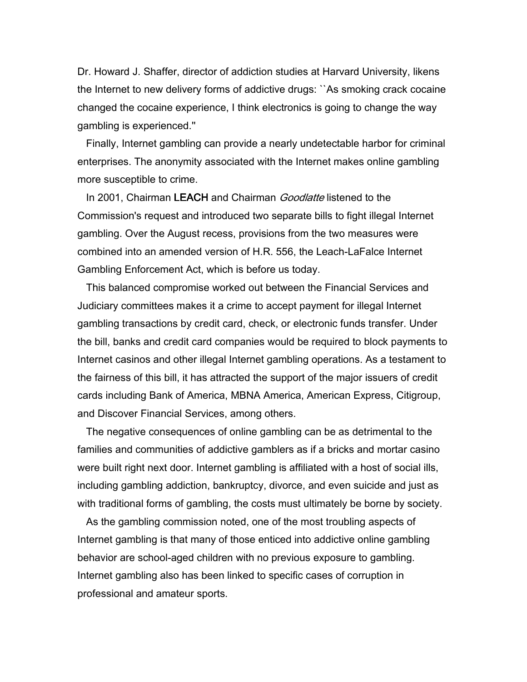Dr. Howard J. Shaffer, director of addiction studies at Harvard University, likens the Internet to new delivery forms of addictive drugs: ``As smoking crack cocaine changed the cocaine experience, I think electronics is going to change the way gambling is experienced.''

 Finally, Internet gambling can provide a nearly undetectable harbor for criminal enterprises. The anonymity associated with the Internet makes online gambling more susceptible to crime.

In 2001, Chairman LEACH and Chairman *Goodlatte* listened to the Commission's request and introduced two separate bills to fight illegal Internet gambling. Over the August recess, provisions from the two measures were combined into an amended version of H.R. 556, the Leach-LaFalce Internet Gambling Enforcement Act, which is before us today.

 This balanced compromise worked out between the Financial Services and Judiciary committees makes it a crime to accept payment for illegal Internet gambling transactions by credit card, check, or electronic funds transfer. Under the bill, banks and credit card companies would be required to block payments to Internet casinos and other illegal Internet gambling operations. As a testament to the fairness of this bill, it has attracted the support of the major issuers of credit cards including Bank of America, MBNA America, American Express, Citigroup, and Discover Financial Services, among others.

 The negative consequences of online gambling can be as detrimental to the families and communities of addictive gamblers as if a bricks and mortar casino were built right next door. Internet gambling is affiliated with a host of social ills, including gambling addiction, bankruptcy, divorce, and even suicide and just as with traditional forms of gambling, the costs must ultimately be borne by society.

 As the gambling commission noted, one of the most troubling aspects of Internet gambling is that many of those enticed into addictive online gambling behavior are school-aged children with no previous exposure to gambling. Internet gambling also has been linked to specific cases of corruption in professional and amateur sports.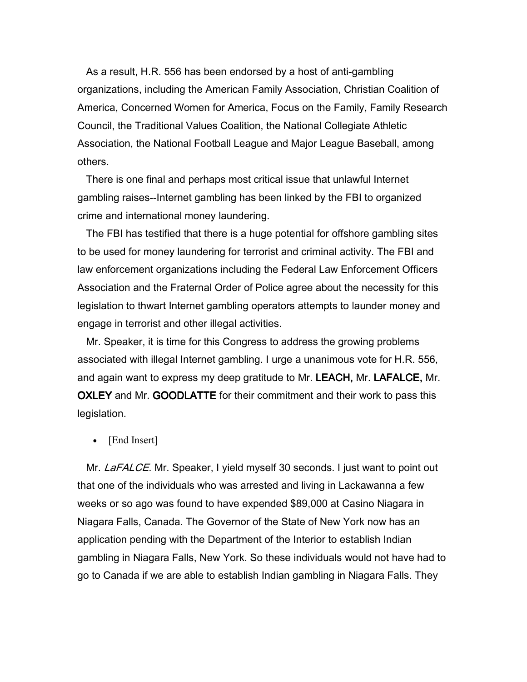As a result, H.R. 556 has been endorsed by a host of anti-gambling organizations, including the American Family Association, Christian Coalition of America, Concerned Women for America, Focus on the Family, Family Research Council, the Traditional Values Coalition, the National Collegiate Athletic Association, the National Football League and Major League Baseball, among others.

 There is one final and perhaps most critical issue that unlawful Internet gambling raises--Internet gambling has been linked by the FBI to organized crime and international money laundering.

 The FBI has testified that there is a huge potential for offshore gambling sites to be used for money laundering for terrorist and criminal activity. The FBI and law enforcement organizations including the Federal Law Enforcement Officers Association and the Fraternal Order of Police agree about the necessity for this legislation to thwart Internet gambling operators attempts to launder money and engage in terrorist and other illegal activities.

 Mr. Speaker, it is time for this Congress to address the growing problems associated with illegal Internet gambling. I urge a unanimous vote for H.R. 556, and again want to express my deep gratitude to Mr. LEACH, Mr. LAFALCE, Mr. OXLEY and Mr. GOODLATTE for their commitment and their work to pass this legislation.

• [End Insert]

Mr. LaFALCE. Mr. Speaker, I yield myself 30 seconds. I just want to point out that one of the individuals who was arrested and living in Lackawanna a few weeks or so ago was found to have expended \$89,000 at Casino Niagara in Niagara Falls, Canada. The Governor of the State of New York now has an application pending with the Department of the Interior to establish Indian gambling in Niagara Falls, New York. So these individuals would not have had to go to Canada if we are able to establish Indian gambling in Niagara Falls. They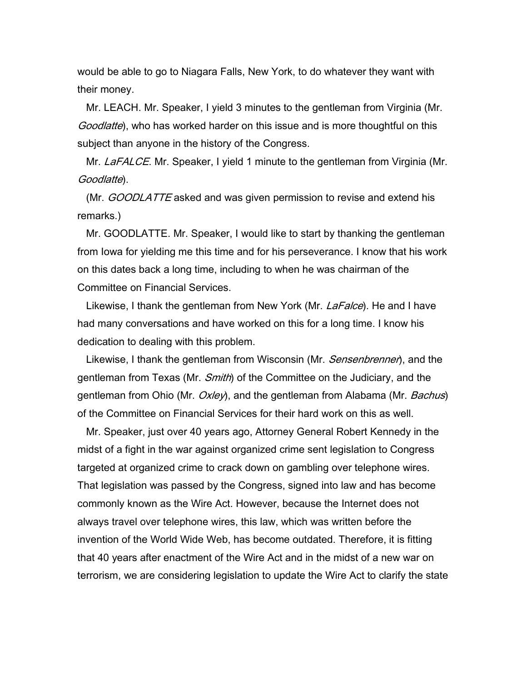would be able to go to Niagara Falls, New York, to do whatever they want with their money.

 Mr. LEACH. Mr. Speaker, I yield 3 minutes to the gentleman from Virginia (Mr. Goodlatte), who has worked harder on this issue and is more thoughtful on this subject than anyone in the history of the Congress.

Mr. LaFALCE. Mr. Speaker, I yield 1 minute to the gentleman from Virginia (Mr. Goodlatte).

(Mr. *GOODLATTE* asked and was given permission to revise and extend his remarks.)

 Mr. GOODLATTE. Mr. Speaker, I would like to start by thanking the gentleman from Iowa for yielding me this time and for his perseverance. I know that his work on this dates back a long time, including to when he was chairman of the Committee on Financial Services.

Likewise, I thank the gentleman from New York (Mr. *LaFalce*). He and I have had many conversations and have worked on this for a long time. I know his dedication to dealing with this problem.

Likewise, I thank the gentleman from Wisconsin (Mr. Sensenbrenner), and the gentleman from Texas (Mr. *Smith*) of the Committee on the Judiciary, and the gentleman from Ohio (Mr. *Oxley*), and the gentleman from Alabama (Mr. *Bachus*) of the Committee on Financial Services for their hard work on this as well.

 Mr. Speaker, just over 40 years ago, Attorney General Robert Kennedy in the midst of a fight in the war against organized crime sent legislation to Congress targeted at organized crime to crack down on gambling over telephone wires. That legislation was passed by the Congress, signed into law and has become commonly known as the Wire Act. However, because the Internet does not always travel over telephone wires, this law, which was written before the invention of the World Wide Web, has become outdated. Therefore, it is fitting that 40 years after enactment of the Wire Act and in the midst of a new war on terrorism, we are considering legislation to update the Wire Act to clarify the state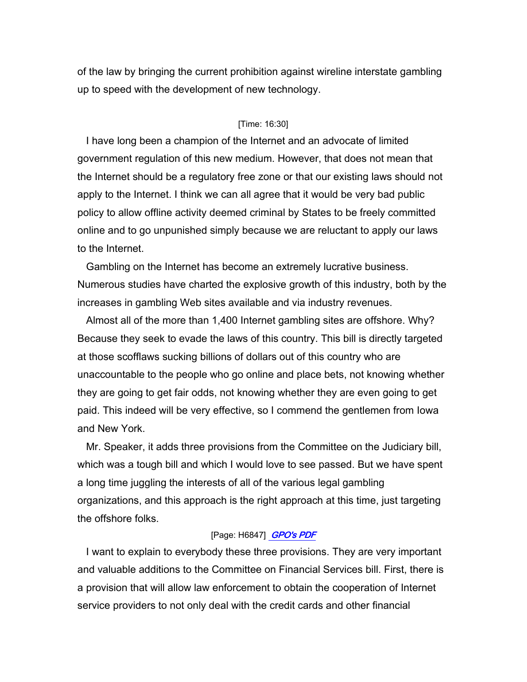of the law by bringing the current prohibition against wireline interstate gambling up to speed with the development of new technology.

# [Time: 16:30]

 I have long been a champion of the Internet and an advocate of limited government regulation of this new medium. However, that does not mean that the Internet should be a regulatory free zone or that our existing laws should not apply to the Internet. I think we can all agree that it would be very bad public policy to allow offline activity deemed criminal by States to be freely committed online and to go unpunished simply because we are reluctant to apply our laws to the Internet.

 Gambling on the Internet has become an extremely lucrative business. Numerous studies have charted the explosive growth of this industry, both by the increases in gambling Web sites available and via industry revenues.

 Almost all of the more than 1,400 Internet gambling sites are offshore. Why? Because they seek to evade the laws of this country. This bill is directly targeted at those scofflaws sucking billions of dollars out of this country who are unaccountable to the people who go online and place bets, not knowing whether they are going to get fair odds, not knowing whether they are even going to get paid. This indeed will be very effective, so I commend the gentlemen from Iowa and New York.

 Mr. Speaker, it adds three provisions from the Committee on the Judiciary bill, which was a tough bill and which I would love to see passed. But we have spent a long time juggling the interests of all of the various legal gambling organizations, and this approach is the right approach at this time, just targeting the offshore folks.

# [Page: H6847] **GPO's PDF**

 I want to explain to everybody these three provisions. They are very important and valuable additions to the Committee on Financial Services bill. First, there is a provision that will allow law enforcement to obtain the cooperation of Internet service providers to not only deal with the credit cards and other financial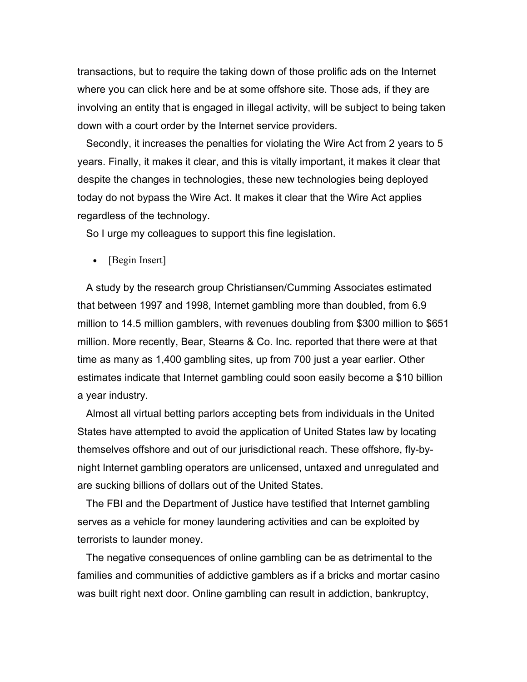transactions, but to require the taking down of those prolific ads on the Internet where you can click here and be at some offshore site. Those ads, if they are involving an entity that is engaged in illegal activity, will be subject to being taken down with a court order by the Internet service providers.

 Secondly, it increases the penalties for violating the Wire Act from 2 years to 5 years. Finally, it makes it clear, and this is vitally important, it makes it clear that despite the changes in technologies, these new technologies being deployed today do not bypass the Wire Act. It makes it clear that the Wire Act applies regardless of the technology.

So I urge my colleagues to support this fine legislation.

• [Begin Insert]

 A study by the research group Christiansen/Cumming Associates estimated that between 1997 and 1998, Internet gambling more than doubled, from 6.9 million to 14.5 million gamblers, with revenues doubling from \$300 million to \$651 million. More recently, Bear, Stearns & Co. Inc. reported that there were at that time as many as 1,400 gambling sites, up from 700 just a year earlier. Other estimates indicate that Internet gambling could soon easily become a \$10 billion a year industry.

 Almost all virtual betting parlors accepting bets from individuals in the United States have attempted to avoid the application of United States law by locating themselves offshore and out of our jurisdictional reach. These offshore, fly-bynight Internet gambling operators are unlicensed, untaxed and unregulated and are sucking billions of dollars out of the United States.

 The FBI and the Department of Justice have testified that Internet gambling serves as a vehicle for money laundering activities and can be exploited by terrorists to launder money.

 The negative consequences of online gambling can be as detrimental to the families and communities of addictive gamblers as if a bricks and mortar casino was built right next door. Online gambling can result in addiction, bankruptcy,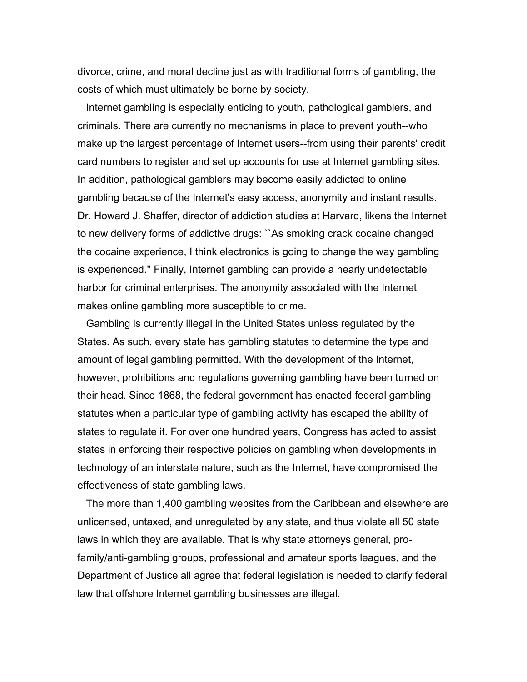divorce, crime, and moral decline just as with traditional forms of gambling, the costs of which must ultimately be borne by society.

 Internet gambling is especially enticing to youth, pathological gamblers, and criminals. There are currently no mechanisms in place to prevent youth--who make up the largest percentage of Internet users--from using their parents' credit card numbers to register and set up accounts for use at Internet gambling sites. In addition, pathological gamblers may become easily addicted to online gambling because of the Internet's easy access, anonymity and instant results. Dr. Howard J. Shaffer, director of addiction studies at Harvard, likens the Internet to new delivery forms of addictive drugs: ``As smoking crack cocaine changed the cocaine experience, I think electronics is going to change the way gambling is experienced.'' Finally, Internet gambling can provide a nearly undetectable harbor for criminal enterprises. The anonymity associated with the Internet makes online gambling more susceptible to crime.

 Gambling is currently illegal in the United States unless regulated by the States. As such, every state has gambling statutes to determine the type and amount of legal gambling permitted. With the development of the Internet, however, prohibitions and regulations governing gambling have been turned on their head. Since 1868, the federal government has enacted federal gambling statutes when a particular type of gambling activity has escaped the ability of states to regulate it. For over one hundred years, Congress has acted to assist states in enforcing their respective policies on gambling when developments in technology of an interstate nature, such as the Internet, have compromised the effectiveness of state gambling laws.

 The more than 1,400 gambling websites from the Caribbean and elsewhere are unlicensed, untaxed, and unregulated by any state, and thus violate all 50 state laws in which they are available. That is why state attorneys general, profamily/anti-gambling groups, professional and amateur sports leagues, and the Department of Justice all agree that federal legislation is needed to clarify federal law that offshore Internet gambling businesses are illegal.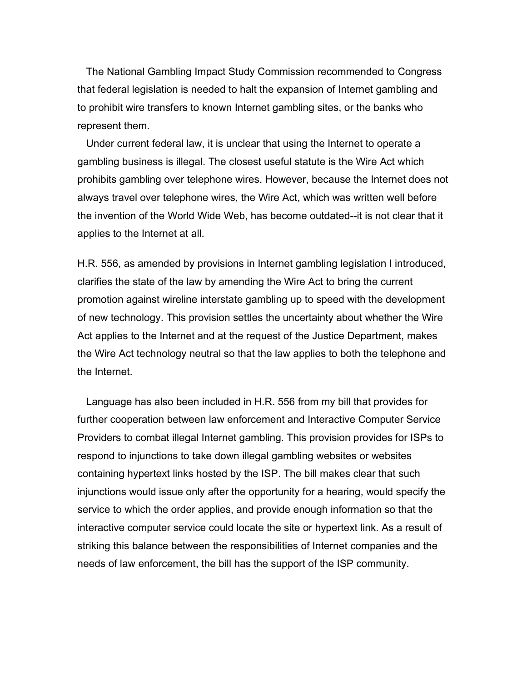The National Gambling Impact Study Commission recommended to Congress that federal legislation is needed to halt the expansion of Internet gambling and to prohibit wire transfers to known Internet gambling sites, or the banks who represent them.

 Under current federal law, it is unclear that using the Internet to operate a gambling business is illegal. The closest useful statute is the Wire Act which prohibits gambling over telephone wires. However, because the Internet does not always travel over telephone wires, the Wire Act, which was written well before the invention of the World Wide Web, has become outdated--it is not clear that it applies to the Internet at all.

H.R. 556, as amended by provisions in Internet gambling legislation I introduced, clarifies the state of the law by amending the Wire Act to bring the current promotion against wireline interstate gambling up to speed with the development of new technology. This provision settles the uncertainty about whether the Wire Act applies to the Internet and at the request of the Justice Department, makes the Wire Act technology neutral so that the law applies to both the telephone and the Internet.

 Language has also been included in H.R. 556 from my bill that provides for further cooperation between law enforcement and Interactive Computer Service Providers to combat illegal Internet gambling. This provision provides for ISPs to respond to injunctions to take down illegal gambling websites or websites containing hypertext links hosted by the ISP. The bill makes clear that such injunctions would issue only after the opportunity for a hearing, would specify the service to which the order applies, and provide enough information so that the interactive computer service could locate the site or hypertext link. As a result of striking this balance between the responsibilities of Internet companies and the needs of law enforcement, the bill has the support of the ISP community.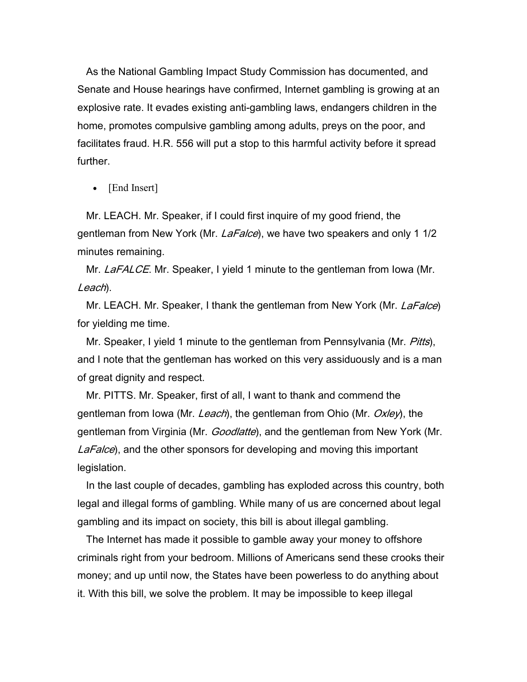As the National Gambling Impact Study Commission has documented, and Senate and House hearings have confirmed, Internet gambling is growing at an explosive rate. It evades existing anti-gambling laws, endangers children in the home, promotes compulsive gambling among adults, preys on the poor, and facilitates fraud. H.R. 556 will put a stop to this harmful activity before it spread further.

• [End Insert]

 Mr. LEACH. Mr. Speaker, if I could first inquire of my good friend, the gentleman from New York (Mr. *LaFalce*), we have two speakers and only 1 1/2 minutes remaining.

Mr. LaFALCE. Mr. Speaker, I yield 1 minute to the gentleman from Iowa (Mr. Leach).

Mr. LEACH. Mr. Speaker, I thank the gentleman from New York (Mr. *LaFalce*) for yielding me time.

Mr. Speaker, I yield 1 minute to the gentleman from Pennsylvania (Mr. Pitts), and I note that the gentleman has worked on this very assiduously and is a man of great dignity and respect.

 Mr. PITTS. Mr. Speaker, first of all, I want to thank and commend the gentleman from Iowa (Mr. Leach), the gentleman from Ohio (Mr. Oxley), the gentleman from Virginia (Mr. *Goodlatte*), and the gentleman from New York (Mr. LaFalce), and the other sponsors for developing and moving this important legislation.

 In the last couple of decades, gambling has exploded across this country, both legal and illegal forms of gambling. While many of us are concerned about legal gambling and its impact on society, this bill is about illegal gambling.

 The Internet has made it possible to gamble away your money to offshore criminals right from your bedroom. Millions of Americans send these crooks their money; and up until now, the States have been powerless to do anything about it. With this bill, we solve the problem. It may be impossible to keep illegal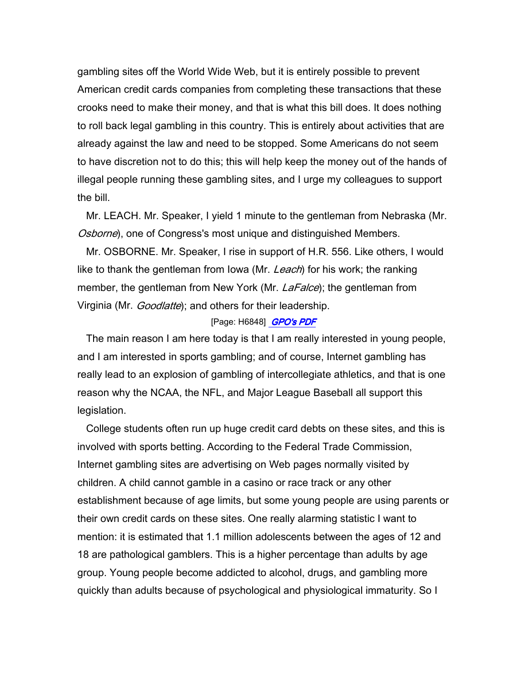gambling sites off the World Wide Web, but it is entirely possible to prevent American credit cards companies from completing these transactions that these crooks need to make their money, and that is what this bill does. It does nothing to roll back legal gambling in this country. This is entirely about activities that are already against the law and need to be stopped. Some Americans do not seem to have discretion not to do this; this will help keep the money out of the hands of illegal people running these gambling sites, and I urge my colleagues to support the bill.

 Mr. LEACH. Mr. Speaker, I yield 1 minute to the gentleman from Nebraska (Mr. Osborne), one of Congress's most unique and distinguished Members.

 Mr. OSBORNE. Mr. Speaker, I rise in support of H.R. 556. Like others, I would like to thank the gentleman from Iowa (Mr. Leach) for his work; the ranking member, the gentleman from New York (Mr. *LaFalce*); the gentleman from Virginia (Mr. *Goodlatte*); and others for their leadership.

# [Page: H6848] **GPO's PDF**

 The main reason I am here today is that I am really interested in young people, and I am interested in sports gambling; and of course, Internet gambling has really lead to an explosion of gambling of intercollegiate athletics, and that is one reason why the NCAA, the NFL, and Major League Baseball all support this legislation.

 College students often run up huge credit card debts on these sites, and this is involved with sports betting. According to the Federal Trade Commission, Internet gambling sites are advertising on Web pages normally visited by children. A child cannot gamble in a casino or race track or any other establishment because of age limits, but some young people are using parents or their own credit cards on these sites. One really alarming statistic I want to mention: it is estimated that 1.1 million adolescents between the ages of 12 and 18 are pathological gamblers. This is a higher percentage than adults by age group. Young people become addicted to alcohol, drugs, and gambling more quickly than adults because of psychological and physiological immaturity. So I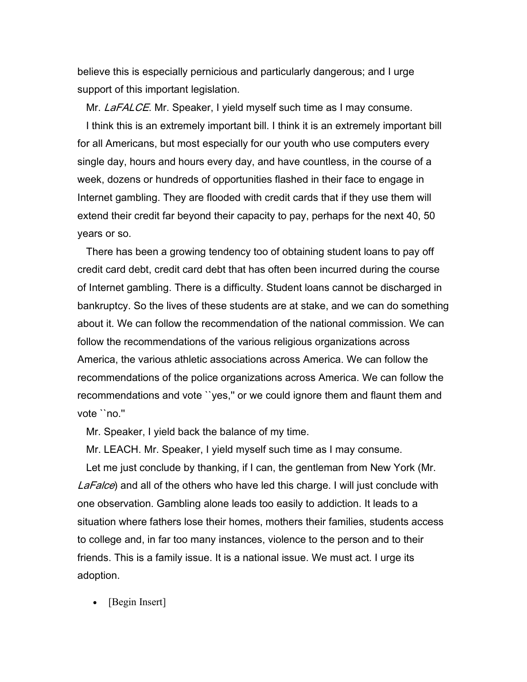believe this is especially pernicious and particularly dangerous; and I urge support of this important legislation.

Mr. LaFALCE. Mr. Speaker, I yield myself such time as I may consume. I think this is an extremely important bill. I think it is an extremely important bill for all Americans, but most especially for our youth who use computers every single day, hours and hours every day, and have countless, in the course of a week, dozens or hundreds of opportunities flashed in their face to engage in Internet gambling. They are flooded with credit cards that if they use them will extend their credit far beyond their capacity to pay, perhaps for the next 40, 50 years or so.

 There has been a growing tendency too of obtaining student loans to pay off credit card debt, credit card debt that has often been incurred during the course of Internet gambling. There is a difficulty. Student loans cannot be discharged in bankruptcy. So the lives of these students are at stake, and we can do something about it. We can follow the recommendation of the national commission. We can follow the recommendations of the various religious organizations across America, the various athletic associations across America. We can follow the recommendations of the police organizations across America. We can follow the recommendations and vote ``yes,'' or we could ignore them and flaunt them and vote ``no.''

Mr. Speaker, I yield back the balance of my time.

Mr. LEACH. Mr. Speaker, I yield myself such time as I may consume.

 Let me just conclude by thanking, if I can, the gentleman from New York (Mr. LaFalce) and all of the others who have led this charge. I will just conclude with one observation. Gambling alone leads too easily to addiction. It leads to a situation where fathers lose their homes, mothers their families, students access to college and, in far too many instances, violence to the person and to their friends. This is a family issue. It is a national issue. We must act. I urge its adoption.

• [Begin Insert]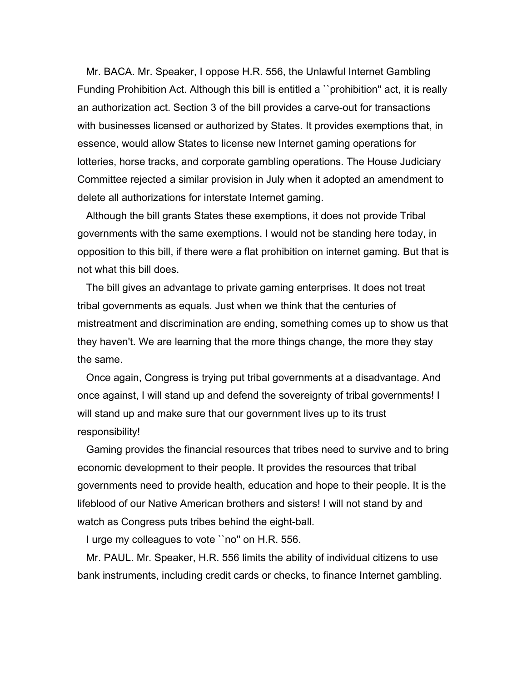Mr. BACA. Mr. Speaker, I oppose H.R. 556, the Unlawful Internet Gambling Funding Prohibition Act. Although this bill is entitled a ``prohibition'' act, it is really an authorization act. Section 3 of the bill provides a carve-out for transactions with businesses licensed or authorized by States. It provides exemptions that, in essence, would allow States to license new Internet gaming operations for lotteries, horse tracks, and corporate gambling operations. The House Judiciary Committee rejected a similar provision in July when it adopted an amendment to delete all authorizations for interstate Internet gaming.

 Although the bill grants States these exemptions, it does not provide Tribal governments with the same exemptions. I would not be standing here today, in opposition to this bill, if there were a flat prohibition on internet gaming. But that is not what this bill does.

 The bill gives an advantage to private gaming enterprises. It does not treat tribal governments as equals. Just when we think that the centuries of mistreatment and discrimination are ending, something comes up to show us that they haven't. We are learning that the more things change, the more they stay the same.

 Once again, Congress is trying put tribal governments at a disadvantage. And once against, I will stand up and defend the sovereignty of tribal governments! I will stand up and make sure that our government lives up to its trust responsibility!

 Gaming provides the financial resources that tribes need to survive and to bring economic development to their people. It provides the resources that tribal governments need to provide health, education and hope to their people. It is the lifeblood of our Native American brothers and sisters! I will not stand by and watch as Congress puts tribes behind the eight-ball.

I urge my colleagues to vote ``no'' on H.R. 556.

 Mr. PAUL. Mr. Speaker, H.R. 556 limits the ability of individual citizens to use bank instruments, including credit cards or checks, to finance Internet gambling.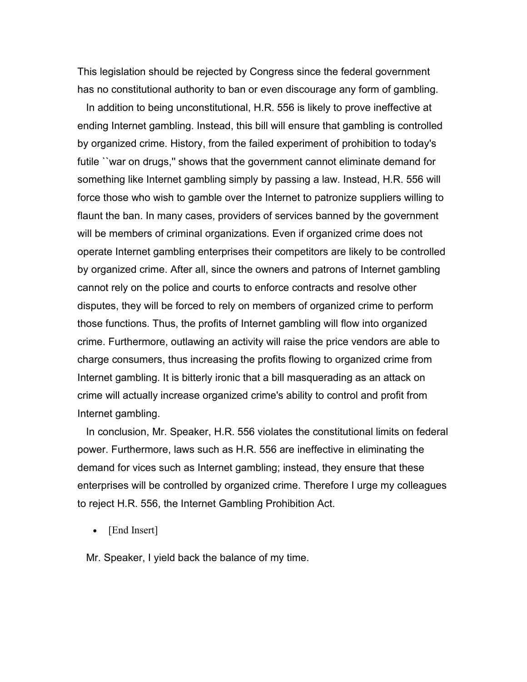This legislation should be rejected by Congress since the federal government has no constitutional authority to ban or even discourage any form of gambling.

 In addition to being unconstitutional, H.R. 556 is likely to prove ineffective at ending Internet gambling. Instead, this bill will ensure that gambling is controlled by organized crime. History, from the failed experiment of prohibition to today's futile ``war on drugs,'' shows that the government cannot eliminate demand for something like Internet gambling simply by passing a law. Instead, H.R. 556 will force those who wish to gamble over the Internet to patronize suppliers willing to flaunt the ban. In many cases, providers of services banned by the government will be members of criminal organizations. Even if organized crime does not operate Internet gambling enterprises their competitors are likely to be controlled by organized crime. After all, since the owners and patrons of Internet gambling cannot rely on the police and courts to enforce contracts and resolve other disputes, they will be forced to rely on members of organized crime to perform those functions. Thus, the profits of Internet gambling will flow into organized crime. Furthermore, outlawing an activity will raise the price vendors are able to charge consumers, thus increasing the profits flowing to organized crime from Internet gambling. It is bitterly ironic that a bill masquerading as an attack on crime will actually increase organized crime's ability to control and profit from Internet gambling.

 In conclusion, Mr. Speaker, H.R. 556 violates the constitutional limits on federal power. Furthermore, laws such as H.R. 556 are ineffective in eliminating the demand for vices such as Internet gambling; instead, they ensure that these enterprises will be controlled by organized crime. Therefore I urge my colleagues to reject H.R. 556, the Internet Gambling Prohibition Act.

• [End Insert]

Mr. Speaker, I yield back the balance of my time.